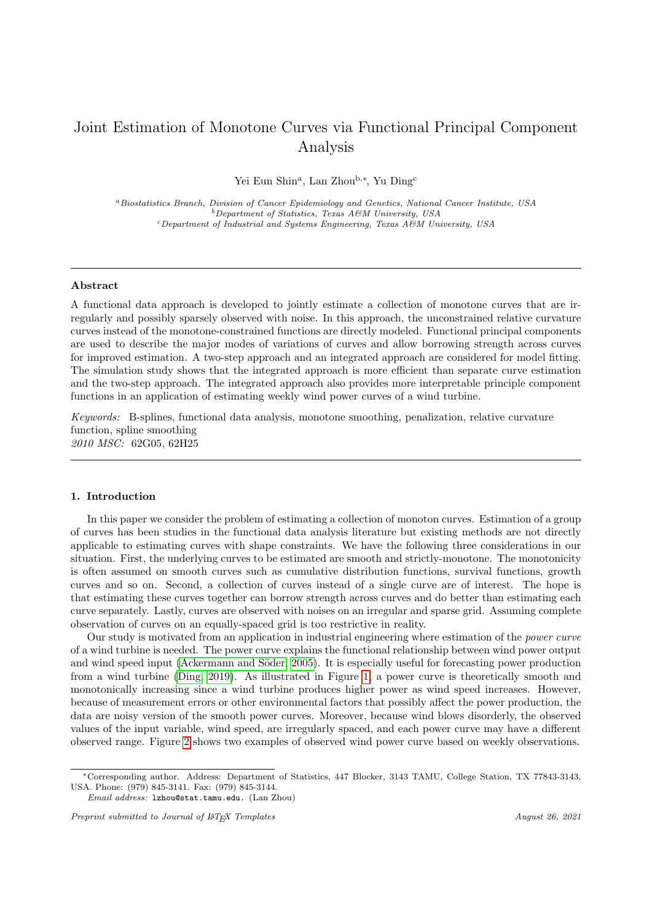# Joint Estimation of Monotone Curves via Functional Principal Component Analysis

Yei Eun Shin<sup>a</sup>, Lan Zhou<sup>b,∗</sup>, Yu Ding<sup>c</sup>

<sup>a</sup>Biostatistics Branch, Division of Cancer Epidemiology and Genetics, National Cancer Institute, USA  $b$ Department of Statistics, Texas A&M University, USA  $c$ Department of Industrial and Systems Engineering, Texas A&M University, USA

## Abstract

A functional data approach is developed to jointly estimate a collection of monotone curves that are irregularly and possibly sparsely observed with noise. In this approach, the unconstrained relative curvature curves instead of the monotone-constrained functions are directly modeled. Functional principal components are used to describe the major modes of variations of curves and allow borrowing strength across curves for improved estimation. A two-step approach and an integrated approach are considered for model fitting. The simulation study shows that the integrated approach is more efficient than separate curve estimation and the two-step approach. The integrated approach also provides more interpretable principle component functions in an application of estimating weekly wind power curves of a wind turbine.

Keywords: B-splines, functional data analysis, monotone smoothing, penalization, relative curvature function, spline smoothing 2010 MSC: 62G05, 62H25

#### <span id="page-0-0"></span>1. Introduction

In this paper we consider the problem of estimating a collection of monoton curves. Estimation of a group of curves has been studies in the functional data analysis literature but existing methods are not directly applicable to estimating curves with shape constraints. We have the following three considerations in our situation. First, the underlying curves to be estimated are smooth and strictly-monotone. The monotonicity is often assumed on smooth curves such as cumulative distribution functions, survival functions, growth curves and so on. Second, a collection of curves instead of a single curve are of interest. The hope is that estimating these curves together can borrow strength across curves and do better than estimating each curve separately. Lastly, curves are observed with noises on an irregular and sparse grid. Assuming complete observation of curves on an equally-spaced grid is too restrictive in reality.

Our study is motivated from an application in industrial engineering where estimation of the power curve of a wind turbine is needed. The power curve explains the functional relationship between wind power output and wind speed input (Ackermann and Söder, 2005). It is especially useful for forecasting power production from a wind turbine [\(Ding, 2019\)](#page-14-0). As illustrated in Figure [1,](#page-1-0) a power curve is theoretically smooth and monotonically increasing since a wind turbine produces higher power as wind speed increases. However, because of measurement errors or other environmental factors that possibly affect the power production, the data are noisy version of the smooth power curves. Moreover, because wind blows disorderly, the observed values of the input variable, wind speed, are irregularly spaced, and each power curve may have a different observed range. Figure [2](#page-2-0) shows two examples of observed wind power curve based on weekly observations.

<sup>∗</sup>Corresponding author. Address: Department of Statistics, 447 Blocker, 3143 TAMU, College Station, TX 77843-3143, USA. Phone: (979) 845-3141. Fax: (979) 845-3144.

Email address: lzhou@stat.tamu.edu. (Lan Zhou)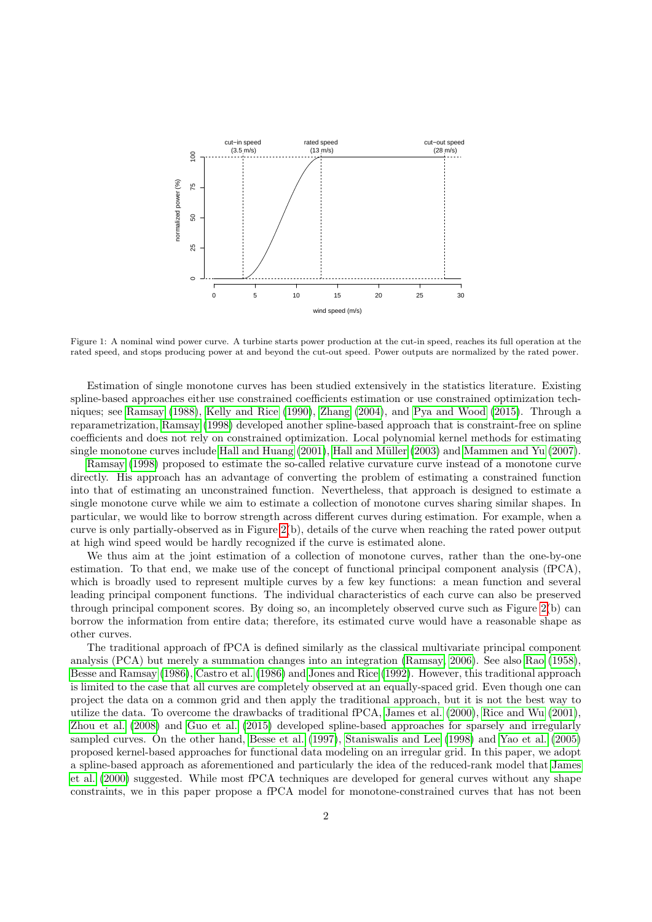

<span id="page-1-0"></span>Figure 1: A nominal wind power curve. A turbine starts power production at the cut-in speed, reaches its full operation at the rated speed, and stops producing power at and beyond the cut-out speed. Power outputs are normalized by the rated power.

Estimation of single monotone curves has been studied extensively in the statistics literature. Existing spline-based approaches either use constrained coefficients estimation or use constrained optimization techniques; see [Ramsay](#page-14-1) [\(1988\)](#page-14-1), [Kelly and Rice](#page-14-2) [\(1990\)](#page-14-2), [Zhang](#page-14-3) [\(2004\)](#page-14-3), and [Pya and Wood](#page-14-4) [\(2015\)](#page-14-4). Through a reparametrization, [Ramsay](#page-14-5) [\(1998\)](#page-14-5) developed another spline-based approach that is constraint-free on spline coefficients and does not rely on constrained optimization. Local polynomial kernel methods for estimating single monotone curves include [Hall and Huang](#page-14-6) [\(2001\)](#page-14-6), Hall and Müller [\(2003\)](#page-14-7) and [Mammen and Yu](#page-14-8) [\(2007\)](#page-14-8).

[Ramsay](#page-14-5) [\(1998\)](#page-14-5) proposed to estimate the so-called relative curvature curve instead of a monotone curve directly. His approach has an advantage of converting the problem of estimating a constrained function into that of estimating an unconstrained function. Nevertheless, that approach is designed to estimate a single monotone curve while we aim to estimate a collection of monotone curves sharing similar shapes. In particular, we would like to borrow strength across different curves during estimation. For example, when a curve is only partially-observed as in Figure [2\(](#page-2-0)b), details of the curve when reaching the rated power output at high wind speed would be hardly recognized if the curve is estimated alone.

We thus aim at the joint estimation of a collection of monotone curves, rather than the one-by-one estimation. To that end, we make use of the concept of functional principal component analysis (fPCA), which is broadly used to represent multiple curves by a few key functions: a mean function and several leading principal component functions. The individual characteristics of each curve can also be preserved through principal component scores. By doing so, an incompletely observed curve such as Figure [2\(](#page-2-0)b) can borrow the information from entire data; therefore, its estimated curve would have a reasonable shape as other curves.

The traditional approach of fPCA is defined similarly as the classical multivariate principal component analysis (PCA) but merely a summation changes into an integration [\(Ramsay, 2006\)](#page-14-9). See also [Rao](#page-14-10) [\(1958\)](#page-14-10), [Besse and Ramsay](#page-13-1) [\(1986\)](#page-13-1), [Castro et al.](#page-14-11) [\(1986\)](#page-14-11) and [Jones and Rice](#page-14-12) [\(1992\)](#page-14-12). However, this traditional approach is limited to the case that all curves are completely observed at an equally-spaced grid. Even though one can project the data on a common grid and then apply the traditional approach, but it is not the best way to utilize the data. To overcome the drawbacks of traditional fPCA, [James et al.](#page-14-13) [\(2000\)](#page-14-13), [Rice and Wu](#page-14-14) [\(2001\)](#page-14-14), [Zhou et al.](#page-14-15) [\(2008\)](#page-14-15) and [Guo et al.](#page-14-16) [\(2015\)](#page-14-16) developed spline-based approaches for sparsely and irregularly sampled curves. On the other hand, [Besse et al.](#page-13-2) [\(1997\)](#page-13-2), [Staniswalis and Lee](#page-14-17) [\(1998\)](#page-14-17) and [Yao et al.](#page-14-18) [\(2005\)](#page-14-18) proposed kernel-based approaches for functional data modeling on an irregular grid. In this paper, we adopt a spline-based approach as aforementioned and particularly the idea of the reduced-rank model that [James](#page-14-13) [et al.](#page-14-13) [\(2000\)](#page-14-13) suggested. While most fPCA techniques are developed for general curves without any shape constraints, we in this paper propose a fPCA model for monotone-constrained curves that has not been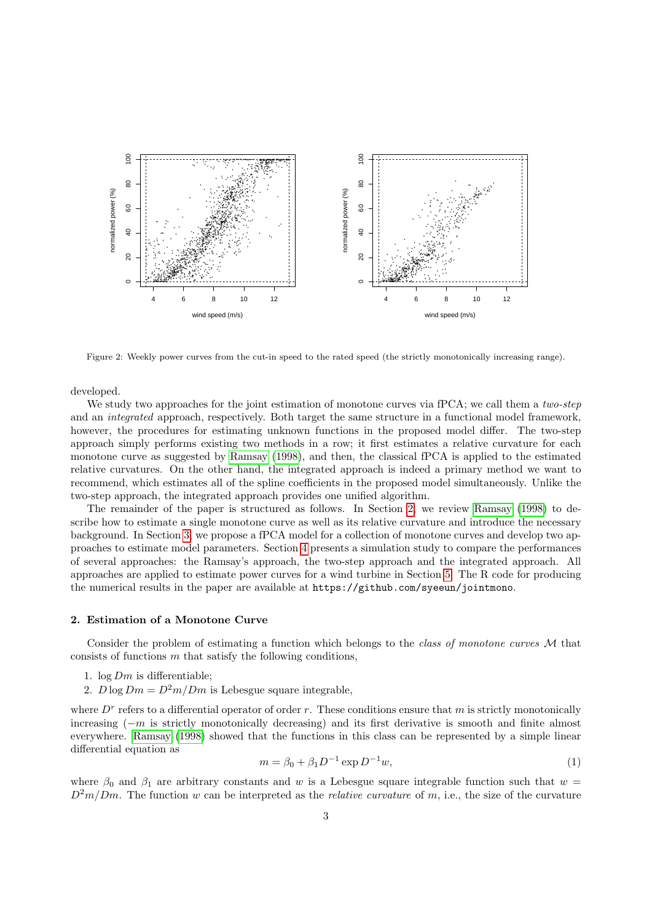

<span id="page-2-0"></span>Figure 2: Weekly power curves from the cut-in speed to the rated speed (the strictly monotonically increasing range).

developed.

We study two approaches for the joint estimation of monotone curves via fPCA; we call them a two-step and an integrated approach, respectively. Both target the same structure in a functional model framework, however, the procedures for estimating unknown functions in the proposed model differ. The two-step approach simply performs existing two methods in a row; it first estimates a relative curvature for each monotone curve as suggested by [Ramsay](#page-14-5) [\(1998\)](#page-14-5), and then, the classical fPCA is applied to the estimated relative curvatures. On the other hand, the integrated approach is indeed a primary method we want to recommend, which estimates all of the spline coefficients in the proposed model simultaneously. Unlike the two-step approach, the integrated approach provides one unified algorithm.

The remainder of the paper is structured as follows. In Section [2,](#page-2-1) we review [Ramsay](#page-14-5) [\(1998\)](#page-14-5) to describe how to estimate a single monotone curve as well as its relative curvature and introduce the necessary background. In Section [3,](#page-4-0) we propose a fPCA model for a collection of monotone curves and develop two approaches to estimate model parameters. Section [4](#page-8-0) presents a simulation study to compare the performances of several approaches: the Ramsay's approach, the two-step approach and the integrated approach. All approaches are applied to estimate power curves for a wind turbine in Section [5.](#page-11-0) The R code for producing the numerical results in the paper are available at https://github.com/syeeun/jointmono.

#### <span id="page-2-1"></span>2. Estimation of a Monotone Curve

Consider the problem of estimating a function which belongs to the *class of monotone curves*  $M$  that consists of functions  $m$  that satisfy the following conditions,

- 1.  $\log Dm$  is differentiable;
- 2.  $D \log Dm = D^2m/Dm$  is Lebesgue square integrable,

where  $D<sup>r</sup>$  refers to a differential operator of order r. These conditions ensure that m is strictly monotonically increasing  $(-m)$  is strictly monotonically decreasing) and its first derivative is smooth and finite almost everywhere. [Ramsay](#page-14-5) [\(1998\)](#page-14-5) showed that the functions in this class can be represented by a simple linear differential equation as

<span id="page-2-2"></span>
$$
m = \beta_0 + \beta_1 D^{-1} \exp D^{-1} w,\tag{1}
$$

where  $\beta_0$  and  $\beta_1$  are arbitrary constants and w is a Lebesgue square integrable function such that  $w =$  $D^2m/Dm$ . The function w can be interpreted as the *relative curvature* of m, i.e., the size of the curvature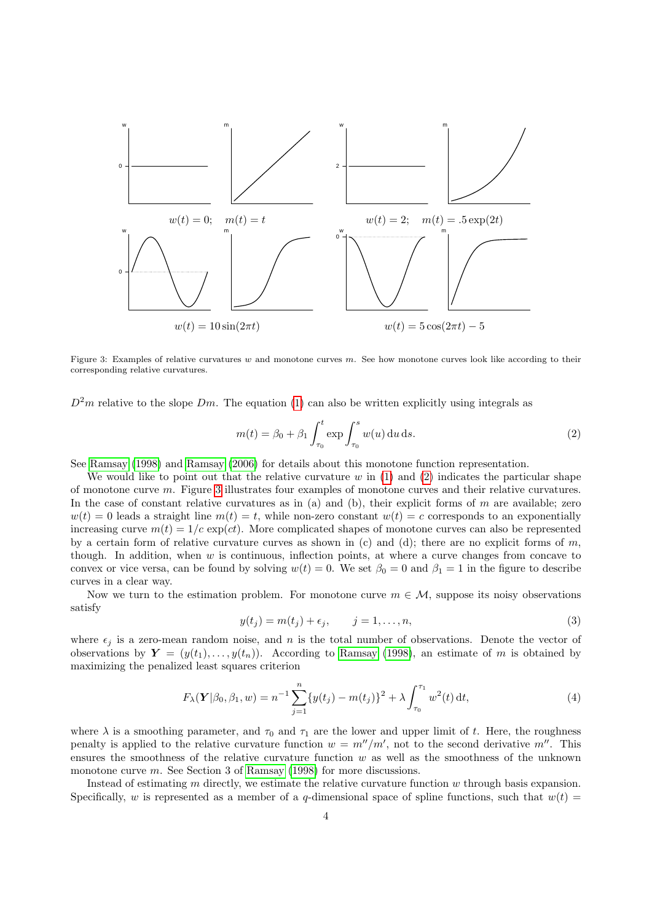

<span id="page-3-1"></span>Figure 3: Examples of relative curvatures w and monotone curves  $m$ . See how monotone curves look like according to their corresponding relative curvatures.

 $D^2m$  relative to the slope Dm. The equation [\(1\)](#page-2-2) can also be written explicitly using integrals as

<span id="page-3-0"></span>
$$
m(t) = \beta_0 + \beta_1 \int_{\tau_0}^t \exp \int_{\tau_0}^s w(u) \, \mathrm{d}u \, \mathrm{d}s. \tag{2}
$$

See [Ramsay](#page-14-5) [\(1998\)](#page-14-5) and [Ramsay](#page-14-9) [\(2006\)](#page-14-9) for details about this monotone function representation.

We would like to point out that the relative curvature w in  $(1)$  and  $(2)$  indicates the particular shape of monotone curve m. Figure [3](#page-3-1) illustrates four examples of monotone curves and their relative curvatures. In the case of constant relative curvatures as in (a) and (b), their explicit forms of  $m$  are available; zero  $w(t) = 0$  leads a straight line  $m(t) = t$ , while non-zero constant  $w(t) = c$  corresponds to an exponentially increasing curve  $m(t) = 1/c \exp(ct)$ . More complicated shapes of monotone curves can also be represented by a certain form of relative curvature curves as shown in (c) and (d); there are no explicit forms of  $m$ , though. In addition, when  $w$  is continuous, inflection points, at where a curve changes from concave to convex or vice versa, can be found by solving  $w(t) = 0$ . We set  $\beta_0 = 0$  and  $\beta_1 = 1$  in the figure to describe curves in a clear way.

<span id="page-3-3"></span>Now we turn to the estimation problem. For monotone curve  $m \in \mathcal{M}$ , suppose its noisy observations satisfy

<span id="page-3-2"></span>
$$
y(t_j) = m(t_j) + \epsilon_j, \qquad j = 1, \dots, n,
$$
\n(3)

where  $\epsilon_j$  is a zero-mean random noise, and n is the total number of observations. Denote the vector of observations by  $Y = (y(t_1), \ldots, y(t_n))$ . According to [Ramsay](#page-14-5) [\(1998\)](#page-14-5), an estimate of m is obtained by maximizing the penalized least squares criterion

$$
F_{\lambda}(\mathbf{Y}|\beta_0, \beta_1, w) = n^{-1} \sum_{j=1}^n \{y(t_j) - m(t_j)\}^2 + \lambda \int_{\tau_0}^{\tau_1} w^2(t) dt,
$$
\n(4)

where  $\lambda$  is a smoothing parameter, and  $\tau_0$  and  $\tau_1$  are the lower and upper limit of t. Here, the roughness penalty is applied to the relative curvature function  $w = m''/m'$ , not to the second derivative m''. This ensures the smoothness of the relative curvature function w as well as the smoothness of the unknown monotone curve m. See Section 3 of [Ramsay](#page-14-5) [\(1998\)](#page-14-5) for more discussions.

Instead of estimating m directly, we estimate the relative curvature function w through basis expansion. Specifically, w is represented as a member of a q-dimensional space of spline functions, such that  $w(t)$  =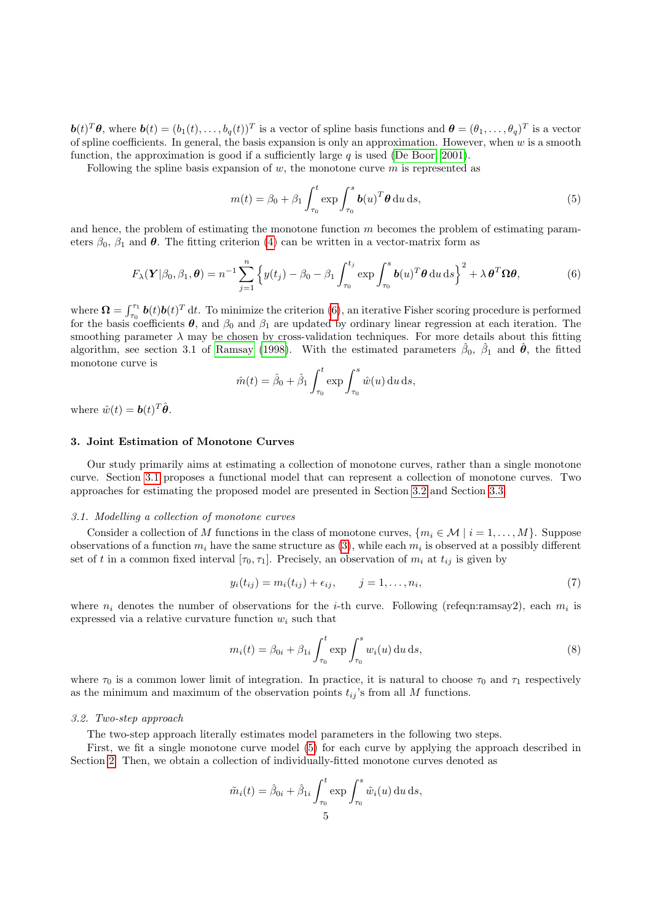$\mathbf{b}(t)^T \theta$ , where  $\mathbf{b}(t) = (b_1(t), \ldots, b_q(t))^T$  is a vector of spline basis functions and  $\mathbf{\theta} = (\theta_1, \ldots, \theta_q)^T$  is a vector of spline coefficients. In general, the basis expansion is only an approximation. However, when w is a smooth function, the approximation is good if a sufficiently large  $q$  is used [\(De Boor, 2001\)](#page-14-19).

Following the spline basis expansion of  $w$ , the monotone curve  $m$  is represented as

<span id="page-4-4"></span><span id="page-4-1"></span>
$$
m(t) = \beta_0 + \beta_1 \int_{\tau_0}^t \exp \int_{\tau_0}^s \boldsymbol{b}(u)^T \boldsymbol{\theta} \, \mathrm{d}u \, \mathrm{d}s,\tag{5}
$$

and hence, the problem of estimating the monotone function  $m$  becomes the problem of estimating parameters  $\beta_0$ ,  $\beta_1$  and  $\theta$ . The fitting criterion [\(4\)](#page-3-2) can be written in a vector-matrix form as

$$
F_{\lambda}(\mathbf{Y}|\beta_0, \beta_1, \boldsymbol{\theta}) = n^{-1} \sum_{j=1}^n \left\{ y(t_j) - \beta_0 - \beta_1 \int_{\tau_0}^{t_j} \exp \int_{\tau_0}^s \boldsymbol{b}(u)^T \boldsymbol{\theta} \, du \, ds \right\}^2 + \lambda \, \boldsymbol{\theta}^T \boldsymbol{\Omega} \boldsymbol{\theta},\tag{6}
$$

where  $\Omega = \int_{\tau_0}^{\tau_1} b(t) b(t)^T dt$ . To minimize the criterion [\(6\)](#page-4-1), an iterative Fisher scoring procedure is performed for the basis coefficients  $\theta$ , and  $\beta_0$  and  $\beta_1$  are updated by ordinary linear regression at each iteration. The smoothing parameter  $\lambda$  may be chosen by cross-validation techniques. For more details about this fitting algorithm, see section 3.1 of [Ramsay](#page-14-5) [\(1998\)](#page-14-5). With the estimated parameters  $\hat{\beta}_0$ ,  $\hat{\beta}_1$  and  $\hat{\theta}$ , the fitted monotone curve is

$$
\hat{m}(t) = \hat{\beta}_0 + \hat{\beta}_1 \int_{\tau_0}^t \exp \int_{\tau_0}^s \hat{w}(u) \, \mathrm{d}u \, \mathrm{d}s,
$$

where  $\hat{w}(t) = \mathbf{b}(t)^T \hat{\boldsymbol{\theta}}$ .

#### <span id="page-4-0"></span>3. Joint Estimation of Monotone Curves

Our study primarily aims at estimating a collection of monotone curves, rather than a single monotone curve. Section [3.1](#page-4-2) proposes a functional model that can represent a collection of monotone curves. Two approaches for estimating the proposed model are presented in Section [3.2](#page-4-3) and Section [3.3.](#page-6-0)

### <span id="page-4-2"></span>3.1. Modelling a collection of monotone curves

Consider a collection of M functions in the class of monotone curves,  $\{m_i \in \mathcal{M} \mid i = 1, \ldots, M\}$ . Suppose observations of a function  $m_i$  have the same structure as  $(3)$ , while each  $m_i$  is observed at a possibly different set of t in a common fixed interval  $[\tau_0, \tau_1]$ . Precisely, an observation of  $m_i$  at  $t_{ij}$  is given by

<span id="page-4-5"></span>
$$
y_i(t_{ij}) = m_i(t_{ij}) + \epsilon_{ij}, \qquad j = 1, \dots, n_i,
$$
\n
$$
(7)
$$

where  $n_i$  denotes the number of observations for the *i*-th curve. Following (refeqn:ramsay2), each  $m_i$  is expressed via a relative curvature function  $w_i$  such that

<span id="page-4-6"></span>
$$
m_i(t) = \beta_{0i} + \beta_{1i} \int_{\tau_0}^t \exp \int_{\tau_0}^s w_i(u) \, \mathrm{d}u \, \mathrm{d}s,\tag{8}
$$

where  $\tau_0$  is a common lower limit of integration. In practice, it is natural to choose  $\tau_0$  and  $\tau_1$  respectively as the minimum and maximum of the observation points  $t_{ij}$ 's from all M functions.

#### <span id="page-4-3"></span>3.2. Two-step approach

The two-step approach literally estimates model parameters in the following two steps.

First, we fit a single monotone curve model [\(5\)](#page-4-4) for each curve by applying the approach described in Section [2.](#page-2-1) Then, we obtain a collection of individually-fitted monotone curves denoted as

$$
\tilde{m}_i(t) = \hat{\beta}_{0i} + \hat{\beta}_{1i} \int_{\tau_0}^t \exp \int_{\tau_0}^s \tilde{w}_i(u) \, \mathrm{d}u \, \mathrm{d}s,
$$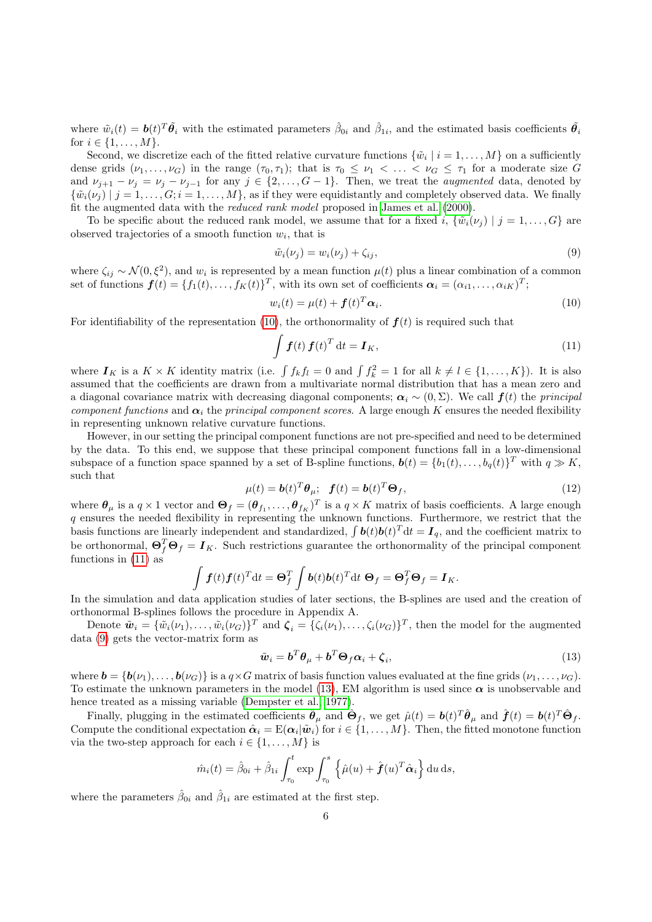where  $\tilde{w}_i(t) = \boldsymbol{b}(t)^T \tilde{\boldsymbol{\theta}_i}$  with the estimated parameters  $\hat{\beta}_{0i}$  and  $\hat{\beta}_{1i}$ , and the estimated basis coefficients  $\tilde{\boldsymbol{\theta}_i}$ for  $i \in \{1, ..., M\}$ .

Second, we discretize each of the fitted relative curvature functions  $\{\tilde{w}_i \mid i = 1, \ldots, M\}$  on a sufficiently dense grids  $(\nu_1,\ldots,\nu_G)$  in the range  $(\tau_0,\tau_1)$ ; that is  $\tau_0 \leq \nu_1 < \ldots < \nu_G \leq \tau_1$  for a moderate size G and  $\nu_{j+1} - \nu_j = \nu_j - \nu_{j-1}$  for any  $j \in \{2, ..., G-1\}$ . Then, we treat the *augmented* data, denoted by  $\{\tilde{w}_i(\nu_j) \mid j = 1, \ldots, G; i = 1, \ldots, M\}$ , as if they were equidistantly and completely observed data. We finally fit the augmented data with the reduced rank model proposed in [James et al.](#page-14-13) [\(2000\)](#page-14-13).

To be specific about the reduced rank model, we assume that for a fixed i,  $\{\tilde{w}_i(\nu_i) \mid j = 1, \ldots, G\}$  are observed trajectories of a smooth function  $w_i$ , that is

<span id="page-5-2"></span><span id="page-5-0"></span>
$$
\tilde{w}_i(\nu_j) = w_i(\nu_j) + \zeta_{ij},\tag{9}
$$

where  $\zeta_{ij} \sim \mathcal{N}(0,\xi^2)$ , and  $w_i$  is represented by a mean function  $\mu(t)$  plus a linear combination of a common set of functions  $\boldsymbol{f}(t) = \{f_1(t), \ldots, f_K(t)\}^T$ , with its own set of coefficients  $\boldsymbol{\alpha}_i = (\alpha_{i1}, \ldots, \alpha_{iK})^T$ ;

$$
w_i(t) = \mu(t) + \mathbf{f}(t)^T \alpha_i.
$$
\n(10)

For identifiability of the representation [\(10\)](#page-5-0), the orthonormality of  $f(t)$  is required such that

<span id="page-5-1"></span>
$$
\int \boldsymbol{f}(t) \, \boldsymbol{f}(t)^T \, \mathrm{d}t = \boldsymbol{I}_K,\tag{11}
$$

where  $I_K$  is a  $K \times K$  identity matrix (i.e.  $\int f_k f_l = 0$  and  $\int f_k^2 = 1$  for all  $k \neq l \in \{1, ..., K\}$ ). It is also assumed that the coefficients are drawn from a multivariate normal distribution that has a mean zero and a diagonal covariance matrix with decreasing diagonal components;  $\alpha_i \sim (0, \Sigma)$ . We call  $f(t)$  the principal component functions and  $\alpha_i$  the principal component scores. A large enough K ensures the needed flexibility in representing unknown relative curvature functions.

However, in our setting the principal component functions are not pre-specified and need to be determined by the data. To this end, we suppose that these principal component functions fall in a low-dimensional subspace of a function space spanned by a set of B-spline functions,  $\mathbf{b}(t) = \{b_1(t), \ldots, b_q(t)\}^T$  with  $q \gg K$ , such that

$$
\mu(t) = \mathbf{b}(t)^T \boldsymbol{\theta}_{\mu}; \quad \mathbf{f}(t) = \mathbf{b}(t)^T \boldsymbol{\Theta}_f,\tag{12}
$$

<span id="page-5-4"></span>where  $\theta_\mu$  is a  $q \times 1$  vector and  $\Theta_f = (\theta_{f_1}, \dots, \theta_{f_K})^T$  is a  $q \times K$  matrix of basis coefficients. A large enough q ensures the needed flexibility in representing the unknown functions. Furthermore, we restrict that the basis functions are linearly independent and standardized,  $\int \bm{b}(t)\bm{b}(t)^T dt = \bm{I}_q$ , and the coefficient matrix to be orthonormal,  $\Theta_f^T \Theta_f = I_K$ . Such restrictions guarantee the orthonormality of the principal component functions in [\(11\)](#page-5-1) as

$$
\int \boldsymbol{f}(t) \boldsymbol{f}(t)^T dt = \boldsymbol{\Theta}_f^T \int \boldsymbol{b}(t) \boldsymbol{b}(t)^T dt \boldsymbol{\Theta}_f = \boldsymbol{\Theta}_f^T \boldsymbol{\Theta}_f = \boldsymbol{I}_K.
$$

In the simulation and data application studies of later sections, the B-splines are used and the creation of orthonormal B-splines follows the procedure in Appendix A.

Denote  $\tilde{\boldsymbol{w}}_i = \{\tilde{w}_i(\nu_1), \dots, \tilde{w}_i(\nu_G)\}^T$  and  $\boldsymbol{\zeta}_i = \{\zeta_i(\nu_1), \dots, \zeta_i(\nu_G)\}^T$ , then the model for the augmented data [\(9\)](#page-5-2) gets the vector-matrix form as

<span id="page-5-3"></span>
$$
\tilde{\boldsymbol{w}}_i = \boldsymbol{b}^T \boldsymbol{\theta}_{\mu} + \boldsymbol{b}^T \boldsymbol{\Theta}_f \boldsymbol{\alpha}_i + \boldsymbol{\zeta}_i, \tag{13}
$$

where  $\mathbf{b} = {\mathbf{b}(\nu_1), \ldots, \mathbf{b}(\nu_G)}$  is a  $q \times G$  matrix of basis function values evaluated at the fine grids  $(\nu_1, \ldots, \nu_G)$ . To estimate the unknown parameters in the model [\(13\)](#page-5-3), EM algorithm is used since  $\alpha$  is unobservable and hence treated as a missing variable [\(Dempster et al., 1977\)](#page-14-20).

Finally, plugging in the estimated coefficients  $\hat{\theta}_{\mu}$  and  $\hat{\Theta}_{f}$ , we get  $\hat{\mu}(t) = \bm{b}(t)^{T} \hat{\bm{\theta}}_{\mu}$  and  $\hat{\bm{f}}(t) = \bm{b}(t)^{T} \hat{\Theta}_{f}$ . Compute the conditional expectation  $\hat{\alpha}_i = \mathbb{E}(\alpha_i | \tilde{w}_i)$  for  $i \in \{1, ..., M\}$ . Then, the fitted monotone function via the two-step approach for each  $i \in \{1, \ldots, M\}$  is

$$
\hat{m}_i(t) = \hat{\beta}_{0i} + \hat{\beta}_{1i} \int_{\tau_0}^t \exp \int_{\tau_0}^s \left\{ \hat{\mu}(u) + \hat{\boldsymbol{f}}(u)^T \hat{\boldsymbol{\alpha}}_i \right\} \mathrm{d}u \, \mathrm{d}s,
$$

where the parameters  $\hat{\beta}_{0i}$  and  $\hat{\beta}_{1i}$  are estimated at the first step.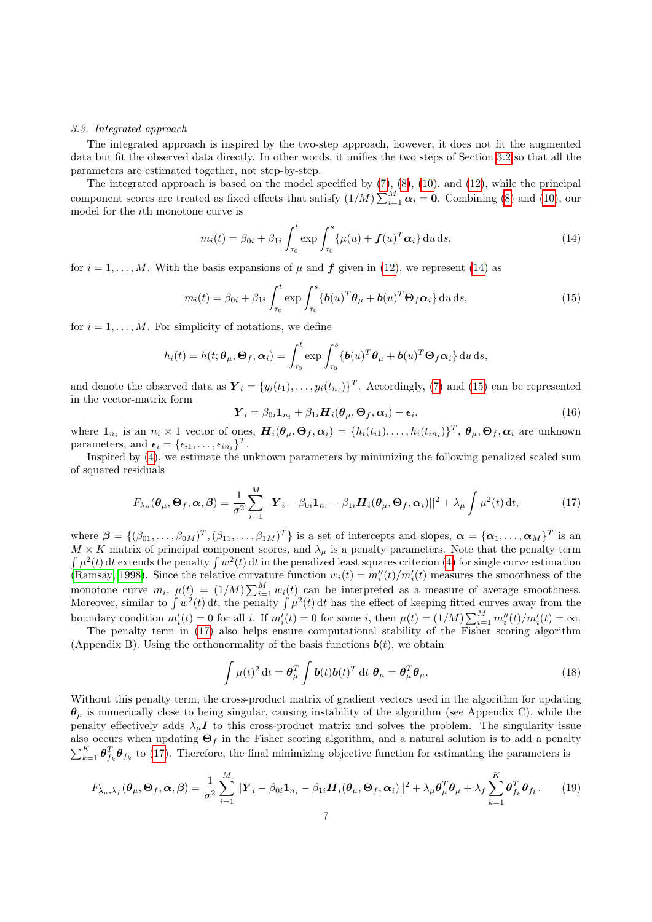#### <span id="page-6-0"></span>3.3. Integrated approach

The integrated approach is inspired by the two-step approach, however, it does not fit the augmented data but fit the observed data directly. In other words, it unifies the two steps of Section [3.2](#page-4-3) so that all the parameters are estimated together, not step-by-step.

The integrated approach is based on the model specified by  $(7)$ ,  $(8)$ ,  $(10)$ , and  $(12)$ , while the principal component scores are treated as fixed effects that satisfy  $(1/M)\sum_{i=1}^{M} \alpha_i = 0$ . Combining [\(8\)](#page-4-6) and [\(10\)](#page-5-0), our model for the ith monotone curve is

<span id="page-6-2"></span><span id="page-6-1"></span>
$$
m_i(t) = \beta_{0i} + \beta_{1i} \int_{\tau_0}^t \exp \int_{\tau_0}^s {\{\mu(u) + \boldsymbol{f}(u)^T \boldsymbol{\alpha}_i\} du ds},
$$
\n(14)

for  $i = 1, \ldots, M$ . With the basis expansions of  $\mu$  and  $f$  given in [\(12\)](#page-5-4), we represent [\(14\)](#page-6-1) as

$$
m_i(t) = \beta_{0i} + \beta_{1i} \int_{\tau_0}^t \exp \int_{\tau_0}^s {\{\boldsymbol{b}(u)^T \boldsymbol{\theta}_{\mu} + \boldsymbol{b}(u)^T \boldsymbol{\Theta}_f \boldsymbol{\alpha}_i\} du ds},
$$
(15)

for  $i = 1, \ldots, M$ . For simplicity of notations, we define

$$
h_i(t) = h(t; \boldsymbol{\theta}_{\mu}, \boldsymbol{\Theta}_f, \boldsymbol{\alpha}_i) = \int_{\tau_0}^t \exp \int_{\tau_0}^s \{ \boldsymbol{b}(u)^T \boldsymbol{\theta}_{\mu} + \boldsymbol{b}(u)^T \boldsymbol{\Theta}_f \boldsymbol{\alpha}_i \} \, \mathrm{d}u \, \mathrm{d}s,
$$

and denote the observed data as  $\boldsymbol{Y}_i = \{y_i(t_1), \ldots, y_i(t_{n_i})\}^T$ . Accordingly, [\(7\)](#page-4-5) and [\(15\)](#page-6-2) can be represented in the vector-matrix form

$$
\boldsymbol{Y}_i = \beta_{0i} \mathbf{1}_{n_i} + \beta_{1i} \boldsymbol{H}_i(\boldsymbol{\theta}_{\mu}, \boldsymbol{\Theta}_f, \boldsymbol{\alpha}_i) + \boldsymbol{\epsilon}_i, \tag{16}
$$

where  $\mathbf{1}_{n_i}$  is an  $n_i \times 1$  vector of ones,  $\boldsymbol{H}_i(\boldsymbol{\theta}_{\mu}, \boldsymbol{\Theta}_f, \boldsymbol{\alpha}_i) = \{h_i(t_{i1}), \ldots, h_i(t_{in_i})\}^T$ ,  $\boldsymbol{\theta}_{\mu}, \boldsymbol{\Theta}_f, \boldsymbol{\alpha}_i$  are unknown parameters, and  $\boldsymbol{\epsilon}_i = {\epsilon_{i1}, \ldots, \epsilon_{in_i}}^T$ .

Inspired by [\(4\)](#page-3-2), we estimate the unknown parameters by minimizing the following penalized scaled sum of squared residuals

<span id="page-6-3"></span>
$$
F_{\lambda_{\mu}}(\boldsymbol{\theta}_{\mu},\boldsymbol{\Theta}_{f},\boldsymbol{\alpha},\boldsymbol{\beta})=\frac{1}{\sigma^{2}}\sum_{i=1}^{M}||\boldsymbol{Y}_{i}-\beta_{0i}\mathbf{1}_{n_{i}}-\beta_{1i}\boldsymbol{H}_{i}(\boldsymbol{\theta}_{\mu},\boldsymbol{\Theta}_{f},\boldsymbol{\alpha}_{i})||^{2}+\lambda_{\mu}\int\mu^{2}(t)\,\mathrm{d}t,
$$
\n(17)

where  $\boldsymbol{\beta} = \{(\beta_{01}, \ldots, \beta_{0M})^T, (\beta_{11}, \ldots, \beta_{1M})^T\}$  is a set of intercepts and slopes,  $\boldsymbol{\alpha} = \{\boldsymbol{\alpha}_1, \ldots, \boldsymbol{\alpha}_M\}^T$  is an  $M \times K$  matrix of principal component scores, and  $\lambda_{\mu}$  is a penalty parameters. Note that the penalty term  $\int \mu^2(t) dt$  extends the penalty  $\int w^2(t) dt$  in the penalized least squares criterion [\(4\)](#page-3-2) for single curve estimation [\(Ramsay, 1998\)](#page-14-5). Since the relative curvature function  $w_i(t) = m''_i(t)/m'_i(t)$  measures the smoothness of the monotone curve  $m_i$ ,  $\mu(t) = (1/M) \sum_{i=1}^{M} w_i(t)$  can be interpreted as a measure of average smoothness. Moreover, similar to  $\int w^2(t) dt$ , the penalty  $\int \mu^2(t) dt$  has the effect of keeping fitted curves away from the boundary condition  $m_i'(t) = 0$  for all i. If  $m_i'(t) = 0$  for some i, then  $\mu(t) = (1/M) \sum_{i=1}^{M} m_i''(t) / m_i'(t) = \infty$ .

The penalty term in  $(17)$  also helps ensure computational stability of the Fisher scoring algorithm (Appendix B). Using the orthonormality of the basis functions  $\mathbf{b}(t)$ , we obtain

<span id="page-6-4"></span>
$$
\int \mu(t)^2 dt = \boldsymbol{\theta}_{\mu}^T \int \boldsymbol{b}(t) \boldsymbol{b}(t)^T dt \ \boldsymbol{\theta}_{\mu} = \boldsymbol{\theta}_{\mu}^T \boldsymbol{\theta}_{\mu}.
$$
 (18)

Without this penalty term, the cross-product matrix of gradient vectors used in the algorithm for updating  $\theta_{\mu}$  is numerically close to being singular, causing instability of the algorithm (see Appendix C), while the penalty effectively adds  $\lambda_{\mu}I$  to this cross-product matrix and solves the problem. The singularity issue also occurs when updating  $\Theta_f$  in the Fisher scoring algorithm, and a natural solution is to add a penalty  $\sum_{k=1}^K \theta_{f_k}^T \theta_{f_k}$  to [\(17\)](#page-6-3). Therefore, the final minimizing objective function for estimating the parameters is

$$
F_{\lambda_{\mu},\lambda_{f}}(\boldsymbol{\theta}_{\mu},\boldsymbol{\Theta}_{f},\boldsymbol{\alpha},\boldsymbol{\beta})=\frac{1}{\sigma^{2}}\sum_{i=1}^{M}\|\boldsymbol{Y}_{i}-\beta_{0i}\mathbf{1}_{n_{i}}-\beta_{1i}\boldsymbol{H}_{i}(\boldsymbol{\theta}_{\mu},\boldsymbol{\Theta}_{f},\boldsymbol{\alpha}_{i})\|^{2}+\lambda_{\mu}\boldsymbol{\theta}_{\mu}^{T}\boldsymbol{\theta}_{\mu}+\lambda_{f}\sum_{k=1}^{K}\boldsymbol{\theta}_{f_{k}}^{T}\boldsymbol{\theta}_{f_{k}}.
$$
 (19)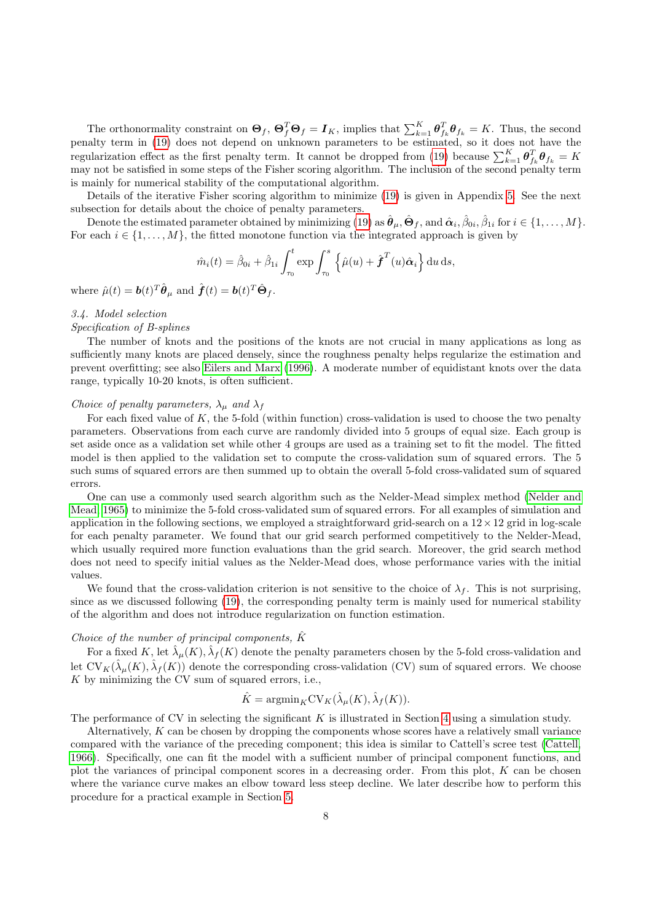The orthonormality constraint on  $\Theta_f$ ,  $\Theta_f^T \Theta_f = I_K$ , implies that  $\sum_{k=1}^K \theta_{f_k}^T \theta_{f_k} = K$ . Thus, the second penalty term in [\(19\)](#page-6-4) does not depend on unknown parameters to be estimated, so it does not have the regularization effect as the first penalty term. It cannot be dropped from [\(19\)](#page-6-4) because  $\sum_{k=1}^{K} \theta_{f_k}^T \theta_{f_k} = K$ may not be satisfied in some steps of the Fisher scoring algorithm. The inclusion of the second penalty term is mainly for numerical stability of the computational algorithm.

Details of the iterative Fisher scoring algorithm to minimize [\(19\)](#page-6-4) is given in Appendix [5.](#page-14-21) See the next subsection for details about the choice of penalty parameters.

Denote the estimated parameter obtained by minimizing [\(19\)](#page-6-4) as  $\hat{\boldsymbol{\theta}}_{\mu}, \hat{\boldsymbol{\Theta}}_{f}$ , and  $\hat{\boldsymbol{\alpha}}_{i}, \hat{\beta}_{0i}, \hat{\beta}_{1i}$  for  $i \in \{1, \ldots, M\}$ . For each  $i \in \{1, \ldots, M\}$ , the fitted monotone function via the integrated approach is given by

$$
\hat{m}_i(t) = \hat{\beta}_{0i} + \hat{\beta}_{1i} \int_{\tau_0}^t \exp \int_{\tau_0}^s \left\{ \hat{\mu}(u) + \hat{\boldsymbol{f}}^T(u)\hat{\boldsymbol{\alpha}}_i \right\} \mathrm{d}u \, \mathrm{d}s,
$$

where  $\hat{\mu}(t) = \boldsymbol{b}(t)^T \hat{\boldsymbol{\theta}}_{\mu}$  and  $\hat{\boldsymbol{f}}(t) = \boldsymbol{b}(t)^T \hat{\boldsymbol{\Theta}}_f$ .

#### <span id="page-7-0"></span>3.4. Model selection

#### Specification of B-splines

The number of knots and the positions of the knots are not crucial in many applications as long as sufficiently many knots are placed densely, since the roughness penalty helps regularize the estimation and prevent overfitting; see also [Eilers and Marx](#page-14-22) [\(1996\)](#page-14-22). A moderate number of equidistant knots over the data range, typically 10-20 knots, is often sufficient.

### Choice of penalty parameters,  $\lambda_{\mu}$  and  $\lambda_{f}$

For each fixed value of K, the 5-fold (within function) cross-validation is used to choose the two penalty parameters. Observations from each curve are randomly divided into 5 groups of equal size. Each group is set aside once as a validation set while other 4 groups are used as a training set to fit the model. The fitted model is then applied to the validation set to compute the cross-validation sum of squared errors. The 5 such sums of squared errors are then summed up to obtain the overall 5-fold cross-validated sum of squared errors.

One can use a commonly used search algorithm such as the Nelder-Mead simplex method [\(Nelder and](#page-14-23) [Mead, 1965\)](#page-14-23) to minimize the 5-fold cross-validated sum of squared errors. For all examples of simulation and application in the following sections, we employed a straightforward grid-search on a  $12 \times 12$  grid in log-scale for each penalty parameter. We found that our grid search performed competitively to the Nelder-Mead, which usually required more function evaluations than the grid search. Moreover, the grid search method does not need to specify initial values as the Nelder-Mead does, whose performance varies with the initial values.

We found that the cross-validation criterion is not sensitive to the choice of  $\lambda_f$ . This is not surprising, since as we discussed following [\(19\)](#page-6-4), the corresponding penalty term is mainly used for numerical stability of the algorithm and does not introduce regularization on function estimation.

# Choice of the number of principal components,  $\hat{K}$

For a fixed K, let  $\hat{\lambda}_{\mu}(K)$ ,  $\hat{\lambda}_{f}(K)$  denote the penalty parameters chosen by the 5-fold cross-validation and let  $CV_K(\hat{\lambda}_{\mu}(K), \hat{\lambda}_{f}(K))$  denote the corresponding cross-validation (CV) sum of squared errors. We choose  $K$  by minimizing the CV sum of squared errors, i.e.,

$$
\hat{K} = \mathrm{argmin}_{K} \mathrm{CV}_{K}(\hat{\lambda}_{\mu}(K), \hat{\lambda}_{f}(K)).
$$

The performance of CV in selecting the significant  $K$  is illustrated in Section [4](#page-8-0) using a simulation study.

Alternatively, K can be chosen by dropping the components whose scores have a relatively small variance compared with the variance of the preceding component; this idea is similar to Cattell's scree test [\(Cattell,](#page-14-24) [1966\)](#page-14-24). Specifically, one can fit the model with a sufficient number of principal component functions, and plot the variances of principal component scores in a decreasing order. From this plot, K can be chosen where the variance curve makes an elbow toward less steep decline. We later describe how to perform this procedure for a practical example in Section [5.](#page-11-0)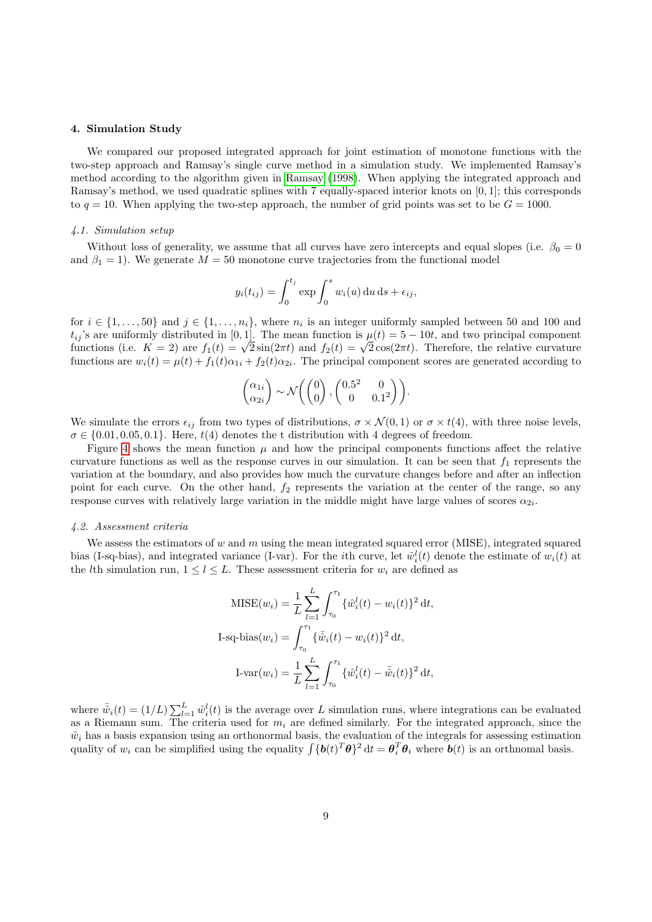#### <span id="page-8-0"></span>4. Simulation Study

We compared our proposed integrated approach for joint estimation of monotone functions with the two-step approach and Ramsay's single curve method in a simulation study. We implemented Ramsay's method according to the algorithm given in [Ramsay](#page-14-5) [\(1998\)](#page-14-5). When applying the integrated approach and Ramsay's method, we used quadratic splines with 7 equally-spaced interior knots on [0, 1]; this corresponds to  $q = 10$ . When applying the two-step approach, the number of grid points was set to be  $G = 1000$ .

### 4.1. Simulation setup

Without loss of generality, we assume that all curves have zero intercepts and equal slopes (i.e.  $\beta_0 = 0$ and  $\beta_1 = 1$ ). We generate  $M = 50$  monotone curve trajectories from the functional model

$$
y_i(t_{ij}) = \int_0^{t_j} \exp \int_0^s w_i(u) \, \mathrm{d}u \, \mathrm{d}s + \epsilon_{ij},
$$

for  $i \in \{1, \ldots, 50\}$  and  $j \in \{1, \ldots, n_i\}$ , where  $n_i$  is an integer uniformly sampled between 50 and 100 and  $t_{ij}$ 's are uniformly distributed in [0, 1]. The mean function is  $\mu(t) = 5 - 10t$ , and two principal component  $t_{ij}$  is are uniformly distributed in [0, 1]. The mean function is  $\mu(t) = 3 - 10t$ , and two principal component functions (i.e.  $K = 2$ ) are  $f_1(t) = \sqrt{2} \sin(2\pi t)$  and  $f_2(t) = \sqrt{2} \cos(2\pi t)$ . Therefore, the relative curvatur functions are  $w_i(t) = \mu(t) + f_1(t)\alpha_{1i} + f_2(t)\alpha_{2i}$ . The principal component scores are generated according to

$$
\begin{pmatrix} \alpha_{1i} \\ \alpha_{2i} \end{pmatrix} \sim \mathcal{N} \left( \begin{pmatrix} 0 \\ 0 \end{pmatrix}, \begin{pmatrix} 0.5^2 & 0 \\ 0 & 0.1^2 \end{pmatrix} \right).
$$

We simulate the errors  $\epsilon_{ij}$  from two types of distributions,  $\sigma \times \mathcal{N}(0, 1)$  or  $\sigma \times t(4)$ , with three noise levels,  $\sigma \in \{0.01, 0.05, 0.1\}$ . Here,  $t(4)$  denotes the t distribution with 4 degrees of freedom.

Figure [4](#page-9-0) shows the mean function  $\mu$  and how the principal components functions affect the relative curvature functions as well as the response curves in our simulation. It can be seen that  $f_1$  represents the variation at the boundary, and also provides how much the curvature changes before and after an inflection point for each curve. On the other hand,  $f_2$  represents the variation at the center of the range, so any response curves with relatively large variation in the middle might have large values of scores  $\alpha_{2i}$ .

#### 4.2. Assessment criteria

We assess the estimators of  $w$  and  $m$  using the mean integrated squared error (MISE), integrated squared bias (I-sq-bias), and integrated variance (I-var). For the *i*th curve, let  $\hat{w}_i^l(t)$  denote the estimate of  $w_i(t)$  at the *l*th simulation run,  $1 \leq l \leq L$ . These assessment criteria for  $w_i$  are defined as

$$
\text{MISE}(w_i) = \frac{1}{L} \sum_{l=1}^{L} \int_{\tau_0}^{\tau_1} {\{\hat{w}_i^l(t) - w_i(t)\}}^2 dt,
$$
  
\nI-sq-bias $(w_i) = \int_{\tau_0}^{\tau_1} {\{\bar{\hat{w}}_i(t) - w_i(t)\}}^2 dt,$   
\nI-var $(w_i) = \frac{1}{L} \sum_{l=1}^{L} \int_{\tau_0}^{\tau_1} {\{\hat{w}_i^l(t) - \bar{\hat{w}}_i(t)\}}^2 dt,$ 

where  $\bar{\hat{w}}_i(t) = (1/L) \sum_{l=1}^L \hat{w}_i^l(t)$  is the average over L simulation runs, where integrations can be evaluated as a Riemann sum. The criteria used for  $m<sub>i</sub>$  are defined similarly. For the integrated approach, since the  $\hat{w}_i$  has a basis expansion using an orthonormal basis, the evaluation of the integrals for assessing estimation quality of  $w_i$  can be simplified using the equality  $\int {\{\boldsymbol{b}(t)^T \boldsymbol{\theta}\}}^2 dt = \boldsymbol{\theta}_i^T \boldsymbol{\theta}_i$  where  $\boldsymbol{b}(t)$  is an orthnomal basis.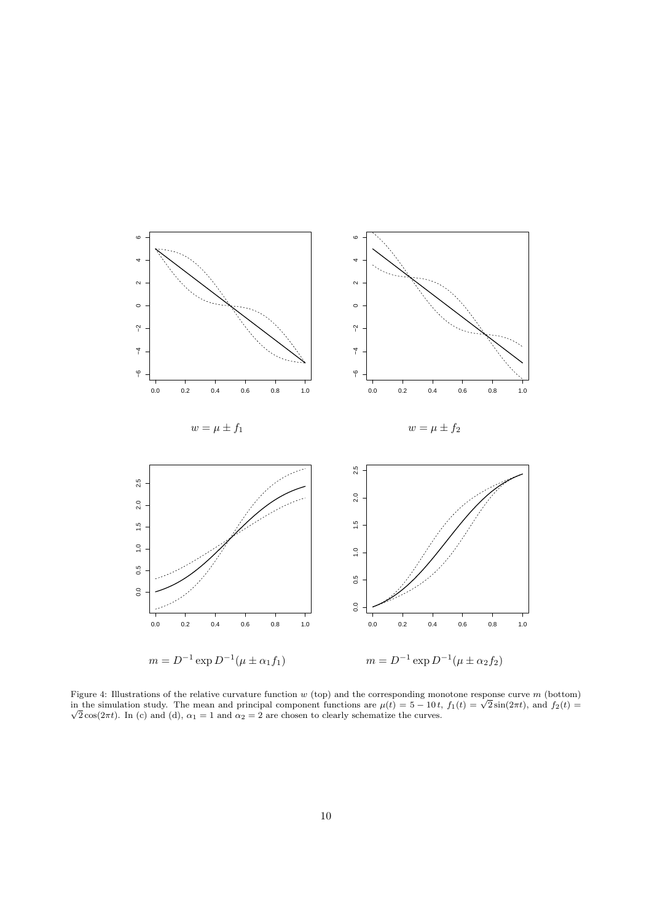

<span id="page-9-0"></span>Figure 4: Illustrations of the relative curvature function  $w$  (top) and the corresponding monotone response curve  $m$  (bottom) Figure 4: Illustrations of the relative curvature function w (top) and the corresponding monotone response curve m (bottom) in the simulation study. The mean and principal component functions are  $\mu(t) = 5 - 10 t$ ,  $f_1(t) = \sqrt$  $\sqrt{2}\cos(2\pi t)$ . In (c) and (d),  $\alpha_1 = 1$  and  $\alpha_2 = 2$  are chosen to clearly schematize the curves.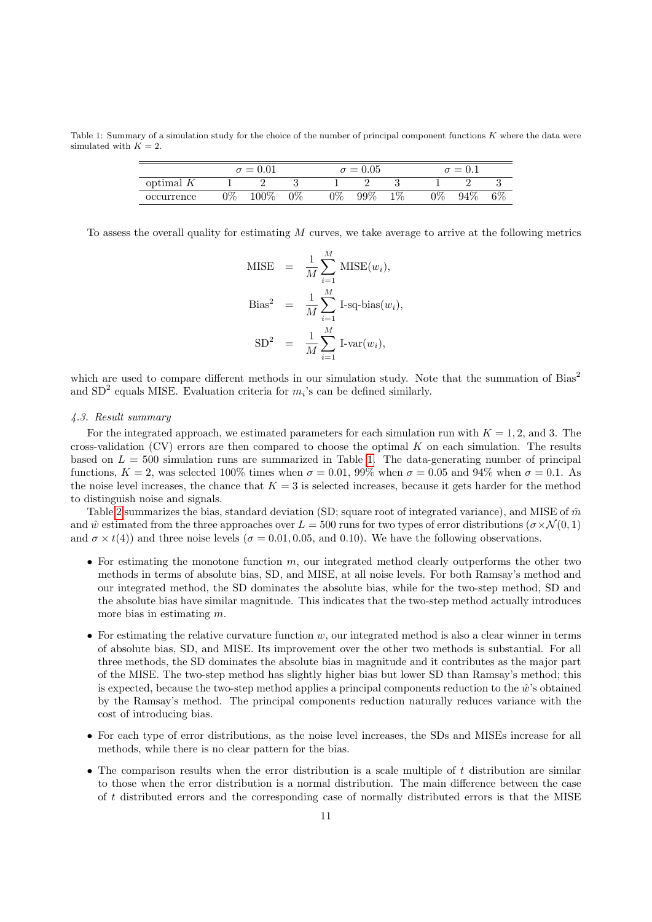<span id="page-10-0"></span>Table 1: Summary of a simulation study for the choice of the number of principal component functions K where the data were simulated with  $K = 2$ .

|             | $\sigma = 0.01$ |       |       |            | $\sigma = 0.05$ |       |       | $\sigma = 0.1$ |    |  |
|-------------|-----------------|-------|-------|------------|-----------------|-------|-------|----------------|----|--|
| optimal $K$ |                 |       |       |            |                 |       |       |                |    |  |
| occurrence  | $2\%$           | 100\% | $0\%$ | $\gamma\%$ | $99\%$          | $1\%$ | $2\%$ | $94\%$         | 6% |  |

To assess the overall quality for estimating  $M$  curves, we take average to arrive at the following metrics

MISE = 
$$
\frac{1}{M} \sum_{i=1}^{M} \text{MISE}(w_i)
$$
,  
\nBias<sup>2</sup> =  $\frac{1}{M} \sum_{i=1}^{M} \text{I-sq-bias}(w_i)$ ,  
\nSD<sup>2</sup> =  $\frac{1}{M} \sum_{i=1}^{M} \text{I-var}(w_i)$ ,

which are used to compare different methods in our simulation study. Note that the summation of Bias<sup>2</sup> and  $SD<sup>2</sup>$  equals MISE. Evaluation criteria for  $m<sub>i</sub>$ 's can be defined similarly.

#### 4.3. Result summary

For the integrated approach, we estimated parameters for each simulation run with  $K = 1, 2$ , and 3. The cross-validation  $(CV)$  errors are then compared to choose the optimal K on each simulation. The results based on  $L = 500$  simulation runs are summarized in Table [1.](#page-10-0) The data-generating number of principal functions,  $K = 2$ , was selected 100% times when  $\sigma = 0.01$ , 99% when  $\sigma = 0.05$  and 94% when  $\sigma = 0.1$ . As the noise level increases, the chance that  $K = 3$  is selected increases, because it gets harder for the method to distinguish noise and signals.

Table [2](#page-11-1) summarizes the bias, standard deviation (SD; square root of integrated variance), and MISE of  $\hat{m}$ and  $\hat{w}$  estimated from the three approaches over  $L = 500$  runs for two types of error distributions ( $\sigma \times \mathcal{N}(0, 1)$ ) and  $\sigma \times t(4)$  and three noise levels ( $\sigma = 0.01, 0.05,$  and 0.10). We have the following observations.

- For estimating the monotone function  $m$ , our integrated method clearly outperforms the other two methods in terms of absolute bias, SD, and MISE, at all noise levels. For both Ramsay's method and our integrated method, the SD dominates the absolute bias, while for the two-step method, SD and the absolute bias have similar magnitude. This indicates that the two-step method actually introduces more bias in estimating m.
- For estimating the relative curvature function  $w$ , our integrated method is also a clear winner in terms of absolute bias, SD, and MISE. Its improvement over the other two methods is substantial. For all three methods, the SD dominates the absolute bias in magnitude and it contributes as the major part of the MISE. The two-step method has slightly higher bias but lower SD than Ramsay's method; this is expected, because the two-step method applies a principal components reduction to the  $\hat{w}$ 's obtained by the Ramsay's method. The principal components reduction naturally reduces variance with the cost of introducing bias.
- For each type of error distributions, as the noise level increases, the SDs and MISEs increase for all methods, while there is no clear pattern for the bias.
- The comparison results when the error distribution is a scale multiple of  $t$  distribution are similar to those when the error distribution is a normal distribution. The main difference between the case of t distributed errors and the corresponding case of normally distributed errors is that the MISE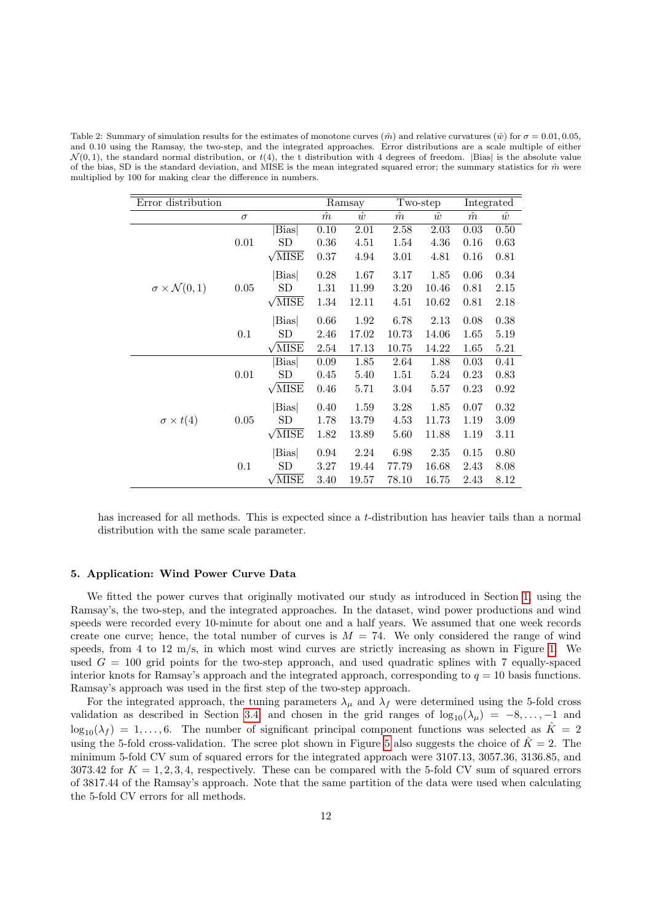<span id="page-11-1"></span>Table 2: Summary of simulation results for the estimates of monotone curves  $(\hat{m})$  and relative curvatures  $(\hat{w})$  for  $\sigma = 0.01, 0.05$ . and 0.10 using the Ramsay, the two-step, and the integrated approaches. Error distributions are a scale multiple of either  $\mathcal{N}(0, 1)$ , the standard normal distribution, or  $t(4)$ , the t distribution with 4 degrees of freedom. |Bias| is the absolute value of the bias, SD is the standard deviation, and MISE is the mean integrated squared error; the summary statistics for  $\hat{m}$  were multiplied by 100 for making clear the difference in numbers.

| Error distribution               |          |                      | Ramsay    |           | Two-step  |           | Integrated |           |
|----------------------------------|----------|----------------------|-----------|-----------|-----------|-----------|------------|-----------|
|                                  | $\sigma$ |                      | $\hat{m}$ | $\hat{w}$ | $\hat{m}$ | $\hat{w}$ | $\hat{m}$  | $\hat{w}$ |
|                                  |          | <b>Bias</b>          | 0.10      | 2.01      | 2.58      | 2.03      | 0.03       | 0.50      |
|                                  | 0.01     | SD                   | 0.36      | 4.51      | 1.54      | 4.36      | 0.16       | 0.63      |
|                                  |          | $\sqrt{\text{MISE}}$ | 0.37      | 4.94      | 3.01      | 4.81      | 0.16       | 0.81      |
|                                  |          | <b>Bias</b>          | 0.28      | 1.67      | 3.17      | 1.85      | 0.06       | 0.34      |
| $\sigma \times \mathcal{N}(0,1)$ | $0.05\,$ | SD                   | 1.31      | 11.99     | 3.20      | 10.46     | 0.81       | 2.15      |
|                                  |          | $\sqrt{\text{MISE}}$ | 1.34      | 12.11     | 4.51      | 10.62     | 0.81       | 2.18      |
|                                  |          | <b>Bias</b>          | 0.66      | 1.92      | 6.78      | 2.13      | 0.08       | 0.38      |
|                                  | 0.1      | $_{\rm SD}$          | 2.46      | 17.02     | 10.73     | 14.06     | 1.65       | 5.19      |
|                                  |          | $\sqrt{\text{MISE}}$ | 2.54      | 17.13     | 10.75     | 14.22     | 1.65       | 5.21      |
|                                  |          | <b>Bias</b>          | 0.09      | 1.85      | 2.64      | 1.88      | 0.03       | 0.41      |
|                                  | 0.01     | $_{\rm SD}$          | 0.45      | 5.40      | 1.51      | 5.24      | 0.23       | 0.83      |
|                                  |          | $\sqrt{\text{MISE}}$ | 0.46      | 5.71      | 3.04      | 5.57      | 0.23       | 0.92      |
|                                  |          | <b>Bias</b>          | 0.40      | 1.59      | 3.28      | 1.85      | 0.07       | 0.32      |
| $\sigma \times t(4)$             | $0.05\,$ | SD                   | 1.78      | 13.79     | 4.53      | 11.73     | 1.19       | 3.09      |
|                                  |          | $\sqrt{\text{MISE}}$ | 1.82      | 13.89     | 5.60      | 11.88     | 1.19       | 3.11      |
|                                  |          | <b>Bias</b>          | 0.94      | 2.24      | 6.98      | 2.35      | 0.15       | 0.80      |
|                                  | 0.1      | $_{\rm SD}$          | 3.27      | 19.44     | 77.79     | 16.68     | 2.43       | 8.08      |
|                                  |          | $\sqrt{\text{MISE}}$ | 3.40      | 19.57     | 78.10     | 16.75     | 2.43       | 8.12      |

has increased for all methods. This is expected since a t-distribution has heavier tails than a normal distribution with the same scale parameter.

#### <span id="page-11-0"></span>5. Application: Wind Power Curve Data

We fitted the power curves that originally motivated our study as introduced in Section [1,](#page-0-0) using the Ramsay's, the two-step, and the integrated approaches. In the dataset, wind power productions and wind speeds were recorded every 10-minute for about one and a half years. We assumed that one week records create one curve; hence, the total number of curves is  $M = 74$ . We only considered the range of wind speeds, from 4 to 12 m/s, in which most wind curves are strictly increasing as shown in Figure [1.](#page-1-0) We used  $G = 100$  grid points for the two-step approach, and used quadratic splines with 7 equally-spaced interior knots for Ramsay's approach and the integrated approach, corresponding to  $q = 10$  basis functions. Ramsay's approach was used in the first step of the two-step approach.

For the integrated approach, the tuning parameters  $\lambda_{\mu}$  and  $\lambda_{f}$  were determined using the 5-fold cross validation as described in Section [3.4,](#page-7-0) and chosen in the grid ranges of  $log_{10}(\lambda_{\mu}) = -8, \ldots, -1$  and  $\log_{10}(\lambda_f) = 1, \ldots, 6$ . The number of significant principal component functions was selected as  $\hat{K} = 2$ using the [5](#page-12-0)-fold cross-validation. The scree plot shown in Figure 5 also suggests the choice of  $\hat{K} = 2$ . The minimum 5-fold CV sum of squared errors for the integrated approach were 3107.13, 3057.36, 3136.85, and 3073.42 for  $K = 1, 2, 3, 4$ , respectively. These can be compared with the 5-fold CV sum of squared errors of 3817.44 of the Ramsay's approach. Note that the same partition of the data were used when calculating the 5-fold CV errors for all methods.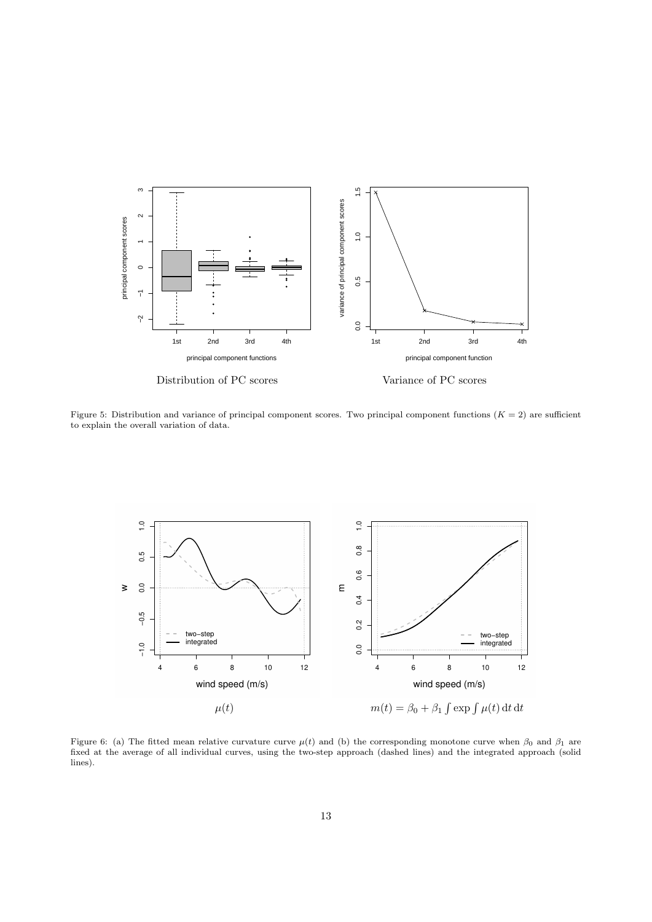

<span id="page-12-0"></span>Figure 5: Distribution and variance of principal component scores. Two principal component functions  $(K = 2)$  are sufficient to explain the overall variation of data.



<span id="page-12-1"></span>Figure 6: (a) The fitted mean relative curvature curve  $\mu(t)$  and (b) the corresponding monotone curve when  $\beta_0$  and  $\beta_1$  are fixed at the average of all individual curves, using the two-step approach (dashed lines) and the integrated approach (solid lines).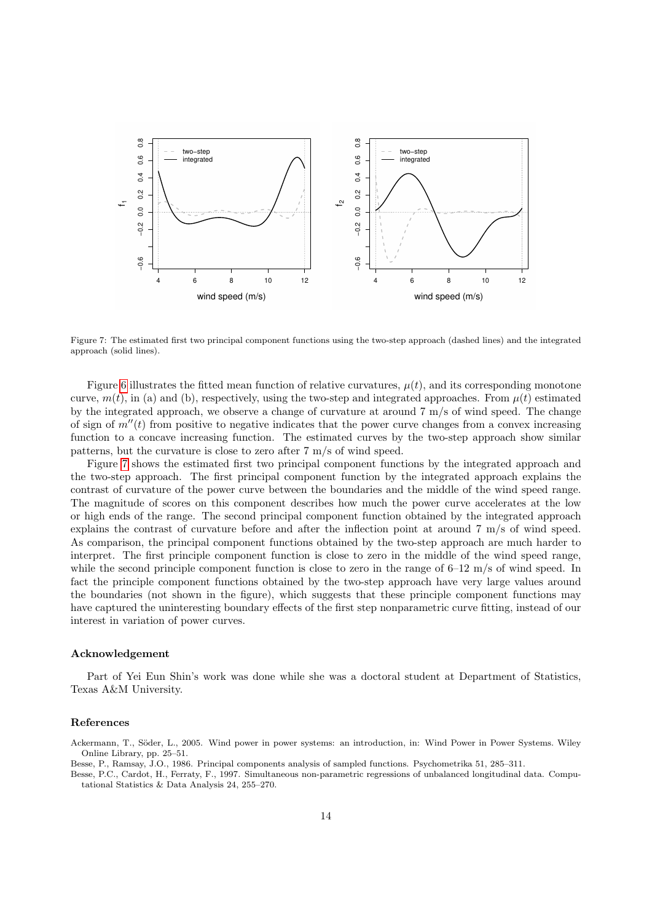

<span id="page-13-3"></span>Figure 7: The estimated first two principal component functions using the two-step approach (dashed lines) and the integrated approach (solid lines).

Figure [6](#page-12-1) illustrates the fitted mean function of relative curvatures,  $\mu(t)$ , and its corresponding monotone curve,  $m(t)$ , in (a) and (b), respectively, using the two-step and integrated approaches. From  $\mu(t)$  estimated by the integrated approach, we observe a change of curvature at around 7 m/s of wind speed. The change of sign of  $m''(t)$  from positive to negative indicates that the power curve changes from a convex increasing function to a concave increasing function. The estimated curves by the two-step approach show similar patterns, but the curvature is close to zero after 7 m/s of wind speed.

Figure [7](#page-13-3) shows the estimated first two principal component functions by the integrated approach and the two-step approach. The first principal component function by the integrated approach explains the contrast of curvature of the power curve between the boundaries and the middle of the wind speed range. The magnitude of scores on this component describes how much the power curve accelerates at the low or high ends of the range. The second principal component function obtained by the integrated approach explains the contrast of curvature before and after the inflection point at around 7 m/s of wind speed. As comparison, the principal component functions obtained by the two-step approach are much harder to interpret. The first principle component function is close to zero in the middle of the wind speed range, while the second principle component function is close to zero in the range of  $6-12$  m/s of wind speed. In fact the principle component functions obtained by the two-step approach have very large values around the boundaries (not shown in the figure), which suggests that these principle component functions may have captured the uninteresting boundary effects of the first step nonparametric curve fitting, instead of our interest in variation of power curves.

#### Acknowledgement

Part of Yei Eun Shin's work was done while she was a doctoral student at Department of Statistics, Texas A&M University.

#### References

<span id="page-13-0"></span>Ackermann, T., S¨oder, L., 2005. Wind power in power systems: an introduction, in: Wind Power in Power Systems. Wiley Online Library, pp. 25–51.

<span id="page-13-2"></span><span id="page-13-1"></span>Besse, P., Ramsay, J.O., 1986. Principal components analysis of sampled functions. Psychometrika 51, 285–311. Besse, P.C., Cardot, H., Ferraty, F., 1997. Simultaneous non-parametric regressions of unbalanced longitudinal data. Compu-

tational Statistics & Data Analysis 24, 255–270.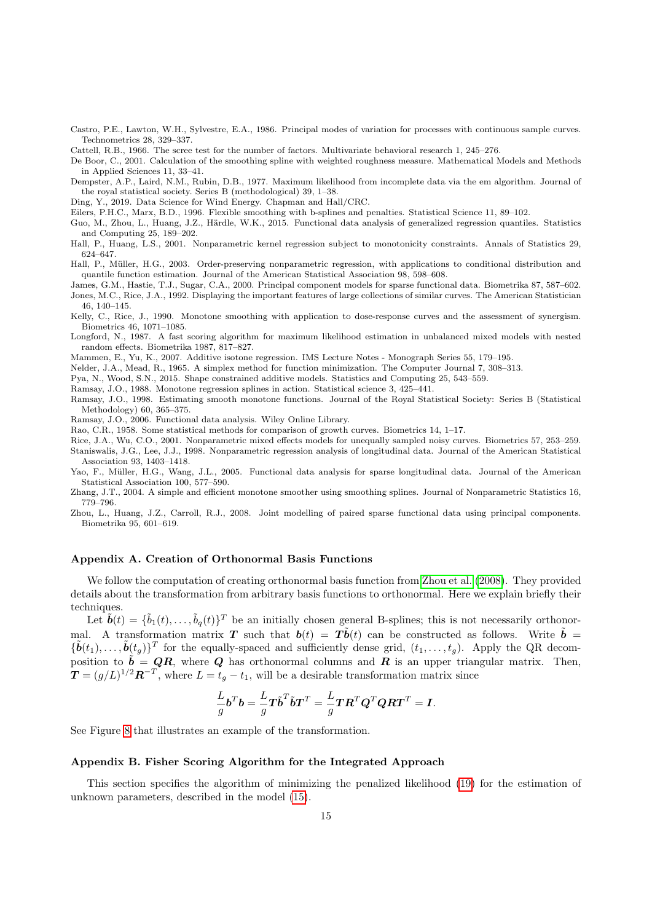- <span id="page-14-11"></span>Castro, P.E., Lawton, W.H., Sylvestre, E.A., 1986. Principal modes of variation for processes with continuous sample curves. Technometrics 28, 329–337.
- <span id="page-14-24"></span>Cattell, R.B., 1966. The scree test for the number of factors. Multivariate behavioral research 1, 245–276.
- <span id="page-14-19"></span>De Boor, C., 2001. Calculation of the smoothing spline with weighted roughness measure. Mathematical Models and Methods in Applied Sciences 11, 33–41.

<span id="page-14-20"></span>Dempster, A.P., Laird, N.M., Rubin, D.B., 1977. Maximum likelihood from incomplete data via the em algorithm. Journal of the royal statistical society. Series B (methodological) 39, 1–38.

- <span id="page-14-0"></span>Ding, Y., 2019. Data Science for Wind Energy. Chapman and Hall/CRC.
- <span id="page-14-22"></span>Eilers, P.H.C., Marx, B.D., 1996. Flexible smoothing with b-splines and penalties. Statistical Science 11, 89–102.

<span id="page-14-16"></span>Guo, M., Zhou, L., Huang, J.Z., Härdle, W.K., 2015. Functional data analysis of generalized regression quantiles. Statistics and Computing 25, 189–202.

<span id="page-14-6"></span>Hall, P., Huang, L.S., 2001. Nonparametric kernel regression subject to monotonicity constraints. Annals of Statistics 29, 624–647.

<span id="page-14-7"></span>Hall, P., Müller, H.G., 2003. Order-preserving nonparametric regression, with applications to conditional distribution and quantile function estimation. Journal of the American Statistical Association 98, 598–608.

<span id="page-14-13"></span><span id="page-14-12"></span>James, G.M., Hastie, T.J., Sugar, C.A., 2000. Principal component models for sparse functional data. Biometrika 87, 587–602. Jones, M.C., Rice, J.A., 1992. Displaying the important features of large collections of similar curves. The American Statistician 46, 140–145.

<span id="page-14-2"></span>Kelly, C., Rice, J., 1990. Monotone smoothing with application to dose-response curves and the assessment of synergism. Biometrics 46, 1071–1085.

<span id="page-14-25"></span>Longford, N., 1987. A fast scoring algorithm for maximum likelihood estimation in unbalanced mixed models with nested random effects. Biometrika 1987, 817–827.

<span id="page-14-8"></span>Mammen, E., Yu, K., 2007. Additive isotone regression. IMS Lecture Notes - Monograph Series 55, 179–195.

<span id="page-14-23"></span>Nelder, J.A., Mead, R., 1965. A simplex method for function minimization. The Computer Journal 7, 308–313.

<span id="page-14-4"></span>Pya, N., Wood, S.N., 2015. Shape constrained additive models. Statistics and Computing 25, 543–559.

<span id="page-14-5"></span><span id="page-14-1"></span>Ramsay, J.O., 1988. Monotone regression splines in action. Statistical science 3, 425–441.

Ramsay, J.O., 1998. Estimating smooth monotone functions. Journal of the Royal Statistical Society: Series B (Statistical Methodology) 60, 365–375.

<span id="page-14-9"></span>Ramsay, J.O., 2006. Functional data analysis. Wiley Online Library.

<span id="page-14-10"></span>Rao, C.R., 1958. Some statistical methods for comparison of growth curves. Biometrics 14, 1–17.

<span id="page-14-17"></span><span id="page-14-14"></span>Rice, J.A., Wu, C.O., 2001. Nonparametric mixed effects models for unequally sampled noisy curves. Biometrics 57, 253–259. Staniswalis, J.G., Lee, J.J., 1998. Nonparametric regression analysis of longitudinal data. Journal of the American Statistical Association 93, 1403–1418.

<span id="page-14-18"></span>Yao, F., Müller, H.G., Wang, J.L., 2005. Functional data analysis for sparse longitudinal data. Journal of the American Statistical Association 100, 577–590.

<span id="page-14-3"></span>Zhang, J.T., 2004. A simple and efficient monotone smoother using smoothing splines. Journal of Nonparametric Statistics 16, 779–796.

<span id="page-14-15"></span>Zhou, L., Huang, J.Z., Carroll, R.J., 2008. Joint modelling of paired sparse functional data using principal components. Biometrika 95, 601–619.

#### Appendix A. Creation of Orthonormal Basis Functions

We follow the computation of creating orthonormal basis function from [Zhou et al.](#page-14-15) [\(2008\)](#page-14-15). They provided details about the transformation from arbitrary basis functions to orthonormal. Here we explain briefly their techniques.

Let  $\tilde{\boldsymbol{b}}(t) = \{\tilde{b}_1(t), \ldots, \tilde{b}_q(t)\}^T$  be an initially chosen general B-splines; this is not necessarily orthonormal. A transformation matrix T such that  $\mathbf{b}(t) = \mathbf{T} \tilde{\mathbf{b}}(t)$  can be constructed as follows. Write  $\tilde{\mathbf{b}} =$  $\{\tilde{b}(t_1),\ldots,\tilde{b}(t_g)\}^T$  for the equally-spaced and sufficiently dense grid,  $(t_1,\ldots,t_g)$ . Apply the QR decomposition to  $\tilde{b} = QR$ , where Q has orthonormal columns and R is an upper triangular matrix. Then,  $T = (g/L)^{1/2} R^{-T}$ , where  $L = t_g - t_1$ , will be a desirable transformation matrix since

$$
\frac{L}{g}\mathbf{b}^T\mathbf{b} = \frac{L}{g}\mathbf{T}\tilde{\mathbf{b}}^T\tilde{\mathbf{b}}\mathbf{T}^T = \frac{L}{g}\mathbf{T}\mathbf{R}^T\mathbf{Q}^T\mathbf{Q}\mathbf{R}\mathbf{T}^T = \mathbf{I}.
$$

See Figure [8](#page-15-0) that illustrates an example of the transformation.

#### <span id="page-14-21"></span>Appendix B. Fisher Scoring Algorithm for the Integrated Approach

This section specifies the algorithm of minimizing the penalized likelihood [\(19\)](#page-6-4) for the estimation of unknown parameters, described in the model [\(15\)](#page-6-2).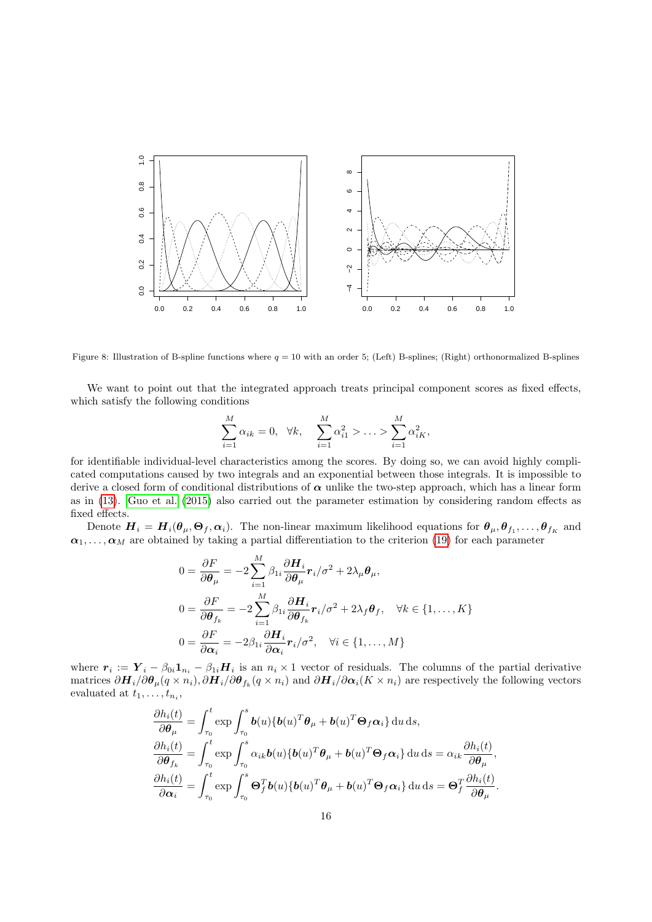

<span id="page-15-0"></span>Figure 8: Illustration of B-spline functions where  $q = 10$  with an order 5; (Left) B-splines; (Right) orthonormalized B-splines

We want to point out that the integrated approach treats principal component scores as fixed effects, which satisfy the following conditions

$$
\sum_{i=1}^{M} \alpha_{ik} = 0, \quad \forall k, \quad \sum_{i=1}^{M} \alpha_{i1}^{2} > \ldots > \sum_{i=1}^{M} \alpha_{iK}^{2},
$$

for identifiable individual-level characteristics among the scores. By doing so, we can avoid highly complicated computations caused by two integrals and an exponential between those integrals. It is impossible to derive a closed form of conditional distributions of  $\alpha$  unlike the two-step approach, which has a linear form as in [\(13\)](#page-5-3). [Guo et al.](#page-14-16) [\(2015\)](#page-14-16) also carried out the parameter estimation by considering random effects as fixed effects.

Denote  $\bm{H}_i = \bm{H}_i(\bm{\theta}_{\mu}, \bm{\Theta}_f, \bm{\alpha}_i)$ . The non-linear maximum likelihood equations for  $\bm{\theta}_{\mu}, \bm{\theta}_{f_1}, \ldots, \bm{\theta}_{f_K}$  and  $\alpha_1, \ldots, \alpha_M$  are obtained by taking a partial differentiation to the criterion [\(19\)](#page-6-4) for each parameter

$$
0 = \frac{\partial F}{\partial \theta_{\mu}} = -2 \sum_{i=1}^{M} \beta_{1i} \frac{\partial H_i}{\partial \theta_{\mu}} r_i / \sigma^2 + 2 \lambda_{\mu} \theta_{\mu},
$$
  
\n
$$
0 = \frac{\partial F}{\partial \theta_{f_k}} = -2 \sum_{i=1}^{M} \beta_{1i} \frac{\partial H_i}{\partial \theta_{f_k}} r_i / \sigma^2 + 2 \lambda_f \theta_f, \quad \forall k \in \{1, ..., K\}
$$
  
\n
$$
0 = \frac{\partial F}{\partial \alpha_i} = -2 \beta_{1i} \frac{\partial H_i}{\partial \alpha_i} r_i / \sigma^2, \quad \forall i \in \{1, ..., M\}
$$

where  $r_i := Y_i - \beta_{0i} \mathbf{1}_{n_i} - \beta_{1i} \mathbf{H}_i$  is an  $n_i \times 1$  vector of residuals. The columns of the partial derivative matrices  $\partial H_i/\partial \theta_\mu (q \times n_i)$ ,  $\partial H_i/\partial \theta_{f_k} (q \times n_i)$  and  $\partial H_i/\partial \alpha_i (K \times n_i)$  are respectively the following vectors evaluated at  $t_1, \ldots, t_{n_i}$ ,

$$
\frac{\partial h_i(t)}{\partial \theta_\mu} = \int_{\tau_0}^t \exp \int_{\tau_0}^s \boldsymbol{b}(u) \{ \boldsymbol{b}(u)^T \boldsymbol{\theta}_\mu + \boldsymbol{b}(u)^T \boldsymbol{\Theta}_f \boldsymbol{\alpha}_i \} \, \mathrm{d}u \, \mathrm{d}s,\n\frac{\partial h_i(t)}{\partial \boldsymbol{\theta}_{f_k}} = \int_{\tau_0}^t \exp \int_{\tau_0}^s \alpha_{ik} \boldsymbol{b}(u) \{ \boldsymbol{b}(u)^T \boldsymbol{\theta}_\mu + \boldsymbol{b}(u)^T \boldsymbol{\Theta}_f \boldsymbol{\alpha}_i \} \, \mathrm{d}u \, \mathrm{d}s = \alpha_{ik} \frac{\partial h_i(t)}{\partial \boldsymbol{\theta}_\mu},\n\frac{\partial h_i(t)}{\partial \boldsymbol{\alpha}_i} = \int_{\tau_0}^t \exp \int_{\tau_0}^s \boldsymbol{\Theta}_f^T \boldsymbol{b}(u) \{ \boldsymbol{b}(u)^T \boldsymbol{\theta}_\mu + \boldsymbol{b}(u)^T \boldsymbol{\Theta}_f \boldsymbol{\alpha}_i \} \, \mathrm{d}u \, \mathrm{d}s = \boldsymbol{\Theta}_f^T \frac{\partial h_i(t)}{\partial \boldsymbol{\theta}_\mu}.
$$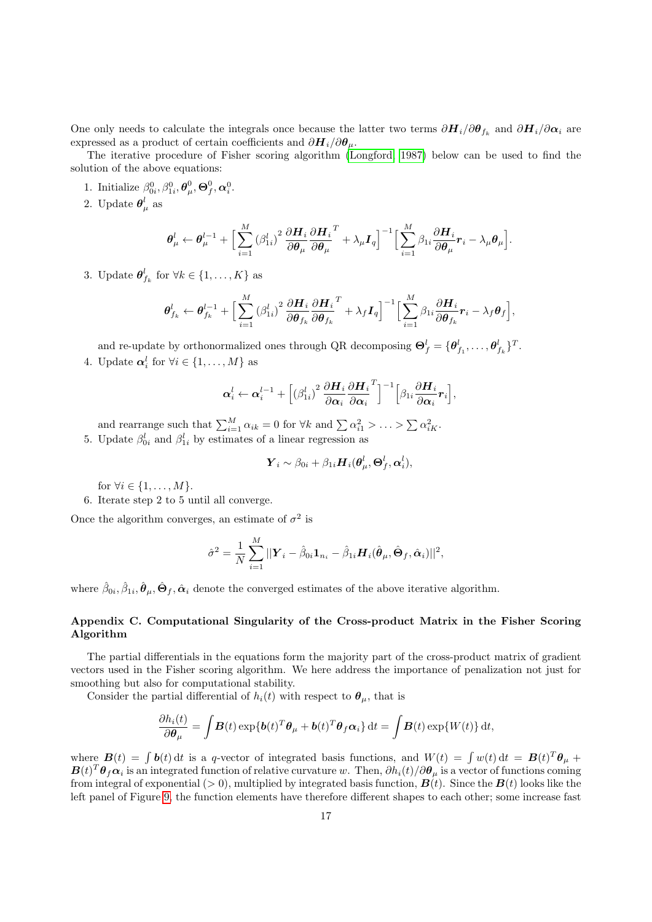One only needs to calculate the integrals once because the latter two terms  $\partial H_i/\partial \theta_{f_k}$  and  $\partial H_i/\partial \alpha_i$  are expressed as a product of certain coefficients and  $\partial H_i/\partial \theta_\mu$ .

The iterative procedure of Fisher scoring algorithm [\(Longford, 1987\)](#page-14-25) below can be used to find the solution of the above equations:

- 1. Initialize  $\beta_{0i}^0, \beta_{1i}^0, \boldsymbol{\theta}_{\mu}^0, \boldsymbol{\Theta}_f^0, \boldsymbol{\alpha}_i^0$ .
- 2. Update  $\boldsymbol{\theta}^l_{\mu}$  as

$$
\boldsymbol{\theta}_{\mu}^{l} \leftarrow \boldsymbol{\theta}_{\mu}^{l-1} + \Big[ \sum_{i=1}^{M} (\beta_{1i}^{l})^{2} \frac{\partial \boldsymbol{H}_{i}}{\partial \boldsymbol{\theta}_{\mu}} \frac{\partial \boldsymbol{H}_{i}}{\partial \boldsymbol{\theta}_{\mu}}^{T} + \lambda_{\mu} \boldsymbol{I}_{q} \Big]^{-1} \Big[ \sum_{i=1}^{M} \beta_{1i} \frac{\partial \boldsymbol{H}_{i}}{\partial \boldsymbol{\theta}_{\mu}} \boldsymbol{r}_{i} - \lambda_{\mu} \boldsymbol{\theta}_{\mu} \Big].
$$

3. Update  $\boldsymbol{\theta}_{f_k}^l$  for  $\forall k \in \{1, \ldots, K\}$  as

$$
\boldsymbol{\theta}_{f_k}^l \leftarrow \boldsymbol{\theta}_{f_k}^{l-1} + \Big[ \sum_{i=1}^M (\beta_{1i}^l)^2 \frac{\partial \boldsymbol{H}_i}{\partial \boldsymbol{\theta}_{f_k}} \frac{\partial \boldsymbol{H}_i}{\partial \boldsymbol{\theta}_{f_k}}^T + \lambda_f \boldsymbol{I}_q \Big]^{-1} \Big[ \sum_{i=1}^M \beta_{1i} \frac{\partial \boldsymbol{H}_i}{\partial \boldsymbol{\theta}_{f_k}} \boldsymbol{r}_i - \lambda_f \boldsymbol{\theta}_f \Big],
$$

and re-update by orthonormalized ones through QR decomposing  $\mathbf{\Theta}_{f}^{l} = \{\mathbf{\theta}_{f_1}^{l}, \ldots, \mathbf{\theta}_{f_k}^{l}\}^{T}$ . 4. Update  $\boldsymbol{\alpha}_i^l$  for  $\forall i \in \{1, \ldots, M\}$  as

$$
\boldsymbol{\alpha}_{i}^{l} \leftarrow \boldsymbol{\alpha}_{i}^{l-1}+\Big[(\beta_{1i}^{l})^{2} \frac{\partial \boldsymbol{H}_{i}}{\partial \boldsymbol{\alpha}_{i}} \frac{\partial \boldsymbol{H}_{i}}{\partial \boldsymbol{\alpha}_{i}}^{T}\Big]^{-1}\Big[\beta_{1i} \frac{\partial \boldsymbol{H}_{i}}{\partial \boldsymbol{\alpha}_{i}} \boldsymbol{r}_{i}\Big],
$$

and rearrange such that  $\sum_{i=1}^{M} \alpha_{ik} = 0$  for  $\forall k$  and  $\sum \alpha_{i1}^2 > \ldots > \sum \alpha_{iK}^2$ . 5. Update  $\beta_{0i}^l$  and  $\beta_{1i}^l$  by estimates of a linear regression as

$$
\boldsymbol{Y}_i \sim \beta_{0i} + \beta_{1i} \boldsymbol{H}_i(\boldsymbol{\theta}_\mu^l,\boldsymbol{\Theta}_f^l,\boldsymbol{\alpha}_i^l),
$$

for  $\forall i \in \{1, \ldots, M\}.$ 

6. Iterate step 2 to 5 until all converge.

Once the algorithm converges, an estimate of  $\sigma^2$  is

$$
\hat{\sigma}^2 = \frac{1}{N} \sum_{i=1}^M ||\boldsymbol{Y}_i - \hat{\beta}_{0i} \mathbf{1}_{n_i} - \hat{\beta}_{1i} \boldsymbol{H}_i(\hat{\boldsymbol{\theta}}_{\mu}, \hat{\boldsymbol{\Theta}}_{f}, \hat{\boldsymbol{\alpha}}_i)||^2,
$$

where  $\hat{\beta}_{0i}, \hat{\beta}_{1i}, \hat{\boldsymbol{\theta}}_{\mu}, \hat{\boldsymbol{\Theta}}_{f}, \hat{\boldsymbol{\alpha}}_{i}$  denote the converged estimates of the above iterative algorithm.

## Appendix C. Computational Singularity of the Cross-product Matrix in the Fisher Scoring Algorithm

The partial differentials in the equations form the majority part of the cross-product matrix of gradient vectors used in the Fisher scoring algorithm. We here address the importance of penalization not just for smoothing but also for computational stability.

Consider the partial differential of  $h_i(t)$  with respect to  $\theta_{\mu}$ , that is

$$
\frac{\partial h_i(t)}{\partial \theta_\mu} = \int \boldsymbol{B}(t) \exp\{\boldsymbol{b}(t)^T \boldsymbol{\theta}_\mu + \boldsymbol{b}(t)^T \boldsymbol{\theta}_f \boldsymbol{\alpha}_i\} dt = \int \boldsymbol{B}(t) \exp\{W(t)\} dt,
$$

where  $\mathbf{B}(t) = \int b(t) dt$  is a q-vector of integrated basis functions, and  $W(t) = \int w(t) dt = \mathbf{B}(t)^T \theta_\mu +$  $B(t)^T \theta_f \alpha_i$  is an integrated function of relative curvature w. Then,  $\partial h_i(t)/\partial \theta_\mu$  is a vector of functions coming from integral of exponential (> 0), multiplied by integrated basis function,  $\mathbf{B}(t)$ . Since the  $\mathbf{B}(t)$  looks like the left panel of Figure [9,](#page-17-0) the function elements have therefore different shapes to each other; some increase fast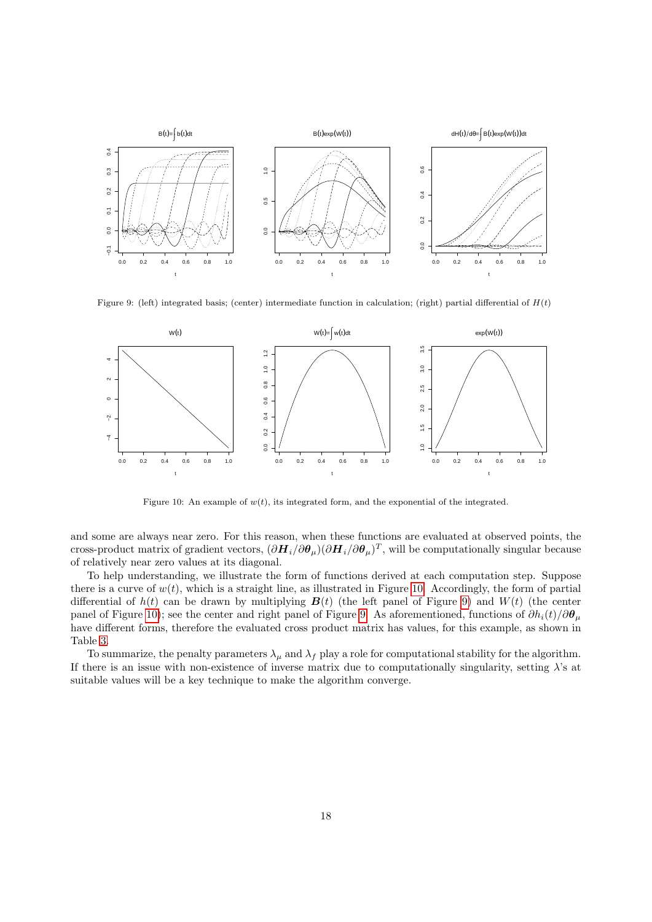

<span id="page-17-0"></span>Figure 9: (left) integrated basis; (center) intermediate function in calculation; (right) partial differential of  $H(t)$ 



<span id="page-17-1"></span>Figure 10: An example of  $w(t)$ , its integrated form, and the exponential of the integrated.

and some are always near zero. For this reason, when these functions are evaluated at observed points, the cross-product matrix of gradient vectors,  $(\partial \bm{H}_i/\partial \bm{\theta}_\mu)(\partial \bm{H}_i/\partial \bm{\theta}_\mu)^T$ , will be computationally singular because of relatively near zero values at its diagonal.

To help understanding, we illustrate the form of functions derived at each computation step. Suppose there is a curve of  $w(t)$ , which is a straight line, as illustrated in Figure [10.](#page-17-1) Accordingly, the form of partial differential of  $h(t)$  can be drawn by multiplying  $\mathbf{B}(t)$  (the left panel of Figure [9\)](#page-17-0) and  $W(t)$  (the center panel of Figure [10\)](#page-17-1); see the center and right panel of Figure [9.](#page-17-0) As aforementioned, functions of  $\partial h_i(t)/\partial \theta_\mu$ have different forms, therefore the evaluated cross product matrix has values, for this example, as shown in Table [3.](#page-18-0)

To summarize, the penalty parameters  $\lambda_\mu$  and  $\lambda_f$  play a role for computational stability for the algorithm. If there is an issue with non-existence of inverse matrix due to computationally singularity, setting  $\lambda$ 's at suitable values will be a key technique to make the algorithm converge.